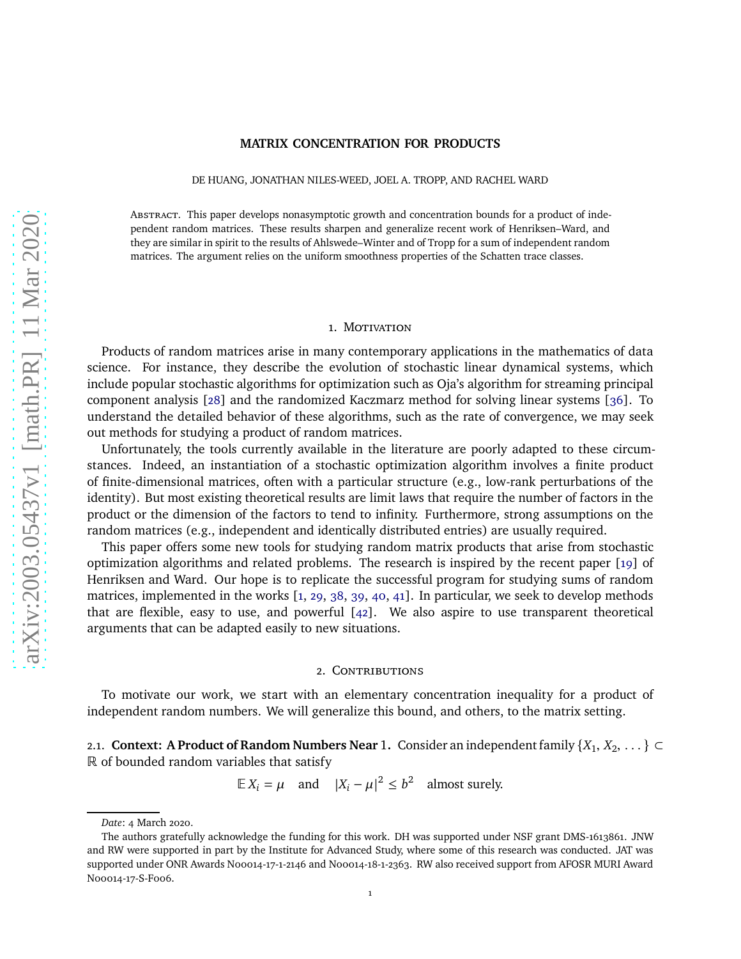## **MATRIX CONCENTRATION FOR PRODUCTS**

DE HUANG, JONATHAN NILES-WEED, JOEL A. TROPP, AND RACHEL WARD

Abstract. This paper develops nonasymptotic growth and concentration bounds for a product of independent random matrices. These results sharpen and generalize recent work of Henriksen–Ward, and they are similar in spirit to the results of Ahlswede–Winter and of Tropp for a sum of independent random matrices. The argument relies on the uniform smoothness properties of the Schatten trace classes.

## 1. MOTIVATION

Products of random matrices arise in many contemporary applications in the mathematics of data science. For instance, they describe the evolution of stochastic linear dynamical systems, which include popular stochastic algorithms for optimization such as Oja's algorithm for streaming principal component analysis [\[28\]](#page-20-0) and the randomized Kaczmarz method for solving linear systems [\[36\]](#page-20-1). To understand the detailed behavior of these algorithms, such as the rate of convergence, we may seek out methods for studying a product of random matrices.

Unfortunately, the tools currently available in the literature are poorly adapted to these circumstances. Indeed, an instantiation of a stochastic optimization algorithm involves a finite product of finite-dimensional matrices, often with a particular structure (e.g., low-rank perturbations of the identity). But most existing theoretical results are limit laws that require the number of factors in the product or the dimension of the factors to tend to infinity. Furthermore, strong assumptions on the random matrices (e.g., independent and identically distributed entries) are usually required.

This paper offers some new tools for studying random matrix products that arise from stochastic optimization algorithms and related problems. The research is inspired by the recent paper [\[19\]](#page-19-0) of Henriksen and Ward. Our hope is to replicate the successful program for studying sums of random matrices, implemented in the works [\[1,](#page-19-1) [29,](#page-20-2) [38,](#page-20-3) [39,](#page-20-4) [40,](#page-20-5) [41\]](#page-20-6). In particular, we seek to develop methods that are flexible, easy to use, and powerful [\[42\]](#page-20-7). We also aspire to use transparent theoretical arguments that can be adapted easily to new situations.

# 2. CONTRIBUTIONS

To motivate our work, we start with an elementary concentration inequality for a product of independent random numbers. We will generalize this bound, and others, to the matrix setting.

<span id="page-0-0"></span>2.1. **Context: A Product of Random Numbers Near** 1. Consider an independent family  $\{X_1, X_2, \ldots\} \subset$ R of bounded random variables that satisfy

 $\mathbb{E} X_i = \mu$  and  $|X_i - \mu|^2 \le b^2$  almost surely.

*Date*: 4 March 2020.

The authors gratefully acknowledge the funding for this work. DH was supported under NSF grant DMS-1613861. JNW and RW were supported in part by the Institute for Advanced Study, where some of this research was conducted. JAT was supported under ONR Awards N00014-17-1-2146 and N00014-18-1-2363. RW also received support from AFOSR MURI Award N00014-17-S-F006.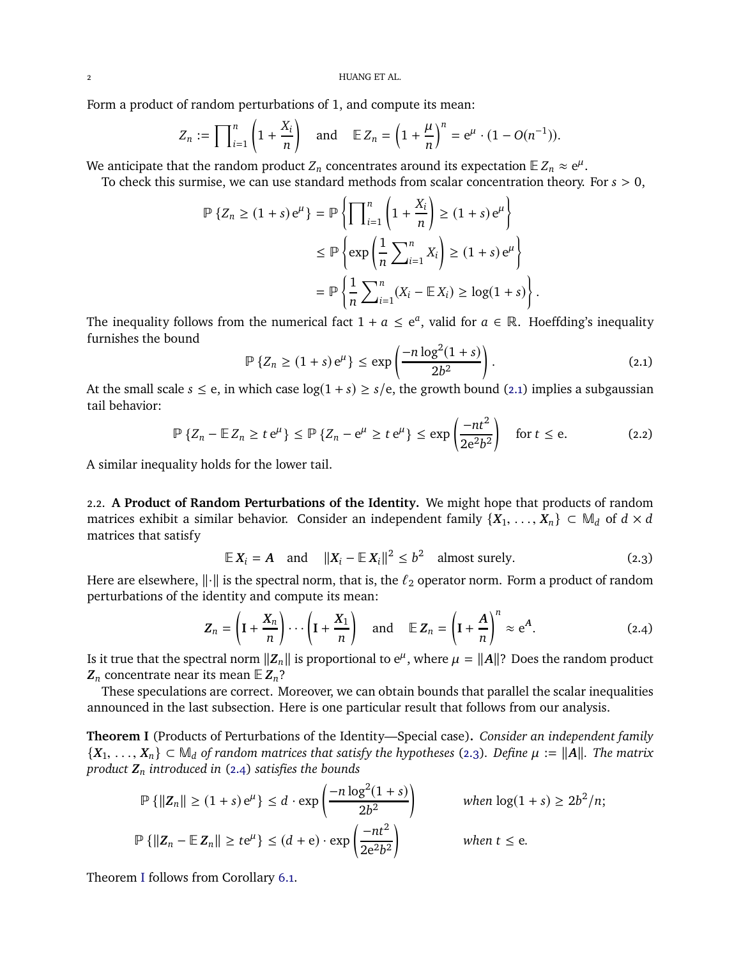Form a product of random perturbations of 1, and compute its mean:

$$
Z_n := \prod_{i=1}^n \left(1 + \frac{X_i}{n}\right) \quad \text{and} \quad \mathbb{E} Z_n = \left(1 + \frac{\mu}{n}\right)^n = e^{\mu} \cdot (1 - O(n^{-1})).
$$

We anticipate that the random product  $Z_n$  concentrates around its expectation  $\mathbb{E} Z_n \approx e^{\mu}$ .

To check this surmise, we can use standard methods from scalar concentration theory. For *s* > 0,

$$
\mathbb{P}\left\{Z_n \ge (1+s)\,\mathrm{e}^{\mu}\right\} = \mathbb{P}\left\{\prod_{i=1}^n \left(1 + \frac{X_i}{n}\right) \ge (1+s)\,\mathrm{e}^{\mu}\right\}
$$

$$
\le \mathbb{P}\left\{\exp\left(\frac{1}{n}\sum_{i=1}^n X_i\right) \ge (1+s)\,\mathrm{e}^{\mu}\right\}
$$

$$
= \mathbb{P}\left\{\frac{1}{n}\sum_{i=1}^n (X_i - \mathbb{E}\,X_i) \ge \log(1+s)\right\}.
$$

The inequality follows from the numerical fact  $1 + a \le e^a$ , valid for  $a \in \mathbb{R}$ . Hoeffding's inequality furnishes the bound

<span id="page-1-4"></span><span id="page-1-0"></span>
$$
\mathbb{P}\left\{Z_n \ge (1+s)\,\mathrm{e}^{\mu}\right\} \le \exp\left(\frac{-n\log^2(1+s)}{2b^2}\right). \tag{2.1}
$$

At the small scale  $s \le e$ , in which case  $log(1 + s) \ge s/e$ , the growth bound [\(2.1\)](#page-1-0) implies a subgaussian tail behavior:

$$
\mathbb{P}\left\{Z_n - \mathbb{E}\,Z_n \ge t\,\mathrm{e}^{\mu}\right\} \le \mathbb{P}\left\{Z_n - \mathrm{e}^{\mu} \ge t\,\mathrm{e}^{\mu}\right\} \le \exp\left(\frac{-nt^2}{2\mathrm{e}^2b^2}\right) \quad \text{for } t \le \mathrm{e}. \tag{2.2}
$$

A similar inequality holds for the lower tail.

2.2. **A Product of Random Perturbations of the Identity.** We might hope that products of random matrices exhibit a similar behavior. Consider an independent family  $\{X_1, \ldots, X_n\} \subset M_d$  of  $d \times d$ matrices that satisfy

<span id="page-1-2"></span><span id="page-1-1"></span>
$$
\mathbb{E}\,X_i = A \quad \text{and} \quad \|X_i - \mathbb{E}\,X_i\|^2 \le b^2 \quad \text{almost surely.} \tag{2.3}
$$

Here are elsewhere,  $\|\cdot\|$  is the spectral norm, that is, the  $\ell_2$  operator norm. Form a product of random perturbations of the identity and compute its mean:

$$
Z_n = \left(I + \frac{X_n}{n}\right) \cdots \left(I + \frac{X_1}{n}\right) \quad \text{and} \quad \mathbb{E} Z_n = \left(I + \frac{A}{n}\right)^n \approx e^A. \tag{2.4}
$$

Is it true that the spectral norm  $||Z_n||$  is proportional to  $e^{\mu}$ , where  $\mu = ||A||$ ? Does the random product  $Z_n$  concentrate near its mean  $E Z_n$ ?

These speculations are correct. Moreover, we can obtain bounds that parallel the scalar inequalities announced in the last subsection. Here is one particular result that follows from our analysis.

<span id="page-1-3"></span>**Theorem I** (Products of Perturbations of the Identity—Special case)**.** *Consider an independent family*  ${X_1, \ldots, X_n} \subset M_d$  *of random matrices that satisfy the hypotheses* [\(2.3\)](#page-1-1)*. Define*  $\mu := ||A||$ *. The matrix product Z<sup>n</sup> introduced in* [\(2.4\)](#page-1-2) *satisfies the bounds*

$$
\mathbb{P}\left\{\|Z_n\| \ge (1+s)e^{\mu}\right\} \le d \cdot \exp\left(\frac{-n\log^2(1+s)}{2b^2}\right) \quad \text{when } \log(1+s) \ge 2b^2/n;
$$
  

$$
\mathbb{P}\left\{\|Z_n - \mathbb{E}\,Z_n\| \ge te^{\mu}\right\} \le (d+e) \cdot \exp\left(\frac{-nt^2}{2e^2b^2}\right) \quad \text{when } t \le e.
$$

Theorem [I](#page-1-3) follows from Corollary [6.1.](#page-12-0)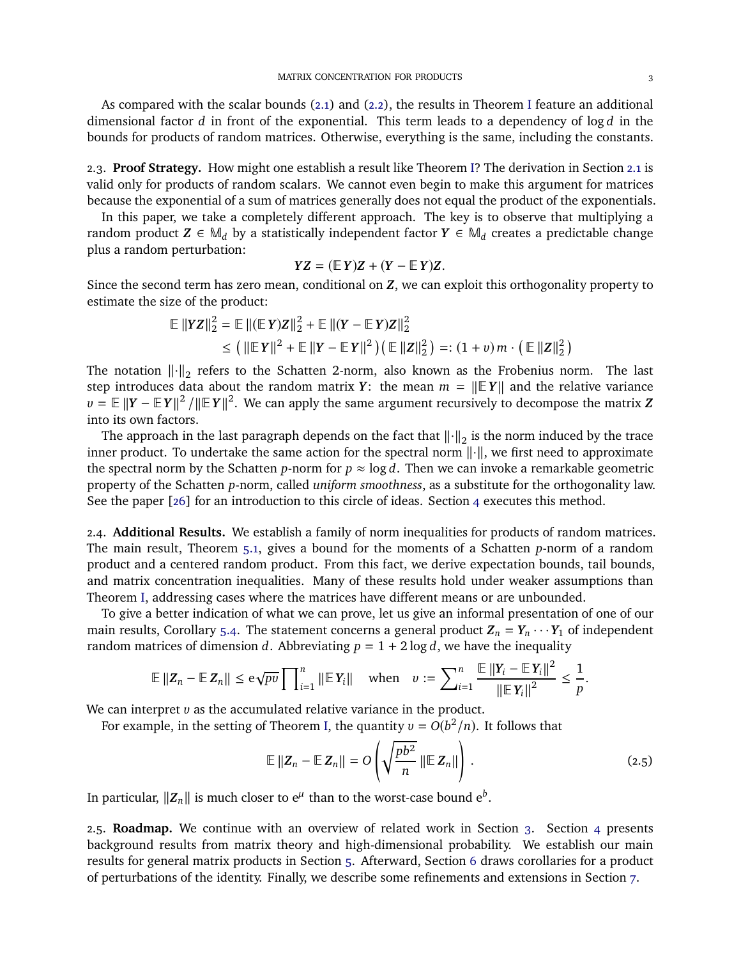As compared with the scalar bounds [\(2.1\)](#page-1-0) and [\(2.2\)](#page-1-4), the results in Theorem [I](#page-1-3) feature an additional dimensional factor *d* in front of the exponential. This term leads to a dependency of log *d* in the bounds for products of random matrices. Otherwise, everything is the same, including the constants.

2.3. **Proof Strategy.** How might one establish a result like Theorem [I?](#page-1-3) The derivation in Section [2.1](#page-0-0) is valid only for products of random scalars. We cannot even begin to make this argument for matrices because the exponential of a sum of matrices generally does not equal the product of the exponentials.

In this paper, we take a completely different approach. The key is to observe that multiplying a random product  $Z \in \mathbb{M}_d$  by a statistically independent factor  $Y \in \mathbb{M}_d$  creates a predictable change plus a random perturbation:

$$
YZ = (\mathbb{E} Y)Z + (Y - \mathbb{E} Y)Z.
$$

Since the second term has zero mean, conditional on *Z*, we can exploit this orthogonality property to estimate the size of the product:

$$
\mathbb{E} \| YZ \|_2^2 = \mathbb{E} \| (\mathbb{E} Y)Z \|_2^2 + \mathbb{E} \| (Y - \mathbb{E} Y)Z \|_2^2
$$
  
\n
$$
\leq ( \| \mathbb{E} Y \|^2 + \mathbb{E} \| Y - \mathbb{E} Y \|^2 ) ( \mathbb{E} \| Z \|_2^2 ) =: (1 + v) m \cdot ( \mathbb{E} \| Z \|_2^2 )
$$

The notation  $\|\cdot\|_2$  refers to the Schatten 2-norm, also known as the Frobenius norm. The last step introduces data about the random matrix *Y*: the mean  $m = ||EY||$  and the relative variance  $v = \mathbb{E} ||Y - \mathbb{E} |Y|^2 / ||\mathbb{E} |Y||^2$ . We can apply the same argument recursively to decompose the matrix *Z* into its own factors.

The approach in the last paragraph depends on the fact that  $\left\|\cdot\right\|_2$  is the norm induced by the trace inner product. To undertake the same action for the spectral norm  $\lVert \cdot \rVert$ , we first need to approximate the spectral norm by the Schatten *p*-norm for  $p \approx \log d$ . Then we can invoke a remarkable geometric property of the Schatten *p*-norm, called *uniform smoothness*, as a substitute for the orthogonality law. See the paper [\[26\]](#page-20-8) for an introduction to this circle of ideas. Section [4](#page-4-0) executes this method.

2.4. **Additional Results.** We establish a family of norm inequalities for products of random matrices. The main result, Theorem [5.1,](#page-8-0) gives a bound for the moments of a Schatten *p*-norm of a random product and a centered random product. From this fact, we derive expectation bounds, tail bounds, and matrix concentration inequalities. Many of these results hold under weaker assumptions than Theorem [I,](#page-1-3) addressing cases where the matrices have different means or are unbounded.

To give a better indication of what we can prove, let us give an informal presentation of one of our main results, Corollary [5.4.](#page-10-0) The statement concerns a general product  $Z_n = Y_n \cdots Y_1$  of independent random matrices of dimension *d*. Abbreviating  $p = 1 + 2 \log d$ , we have the inequality

$$
\mathbb{E} \left\| Z_n - \mathbb{E} Z_n \right\| \leq \mathrm{e} \sqrt{pv} \prod_{i=1}^n \left\| \mathbb{E} Y_i \right\| \quad \text{when} \quad v := \sum_{i=1}^n \frac{\mathbb{E} \left\| Y_i - \mathbb{E} Y_i \right\|^2}{\left\| \mathbb{E} Y_i \right\|^2} \leq \frac{1}{p}.
$$

We can interpret *v* as the accumulated relative variance in the product.

For example, in the setting of Theorem [I,](#page-1-3) the quantity  $v = O(b^2/n)$ . It follows that

<span id="page-2-0"></span>
$$
\mathbb{E} \|Z_n - \mathbb{E} Z_n\| = O\left(\sqrt{\frac{pb^2}{n}} \left\| \mathbb{E} Z_n\right\| \right).
$$
 (2.5)

In particular,  $||\mathbf{Z}_n||$  is much closer to  $e^{\mu}$  than to the worst-case bound  $e^{b}$ .

2.5. **Roadmap.** We continue with an overview of related work in Section [3.](#page-3-0) Section [4](#page-4-0) presents background results from matrix theory and high-dimensional probability. We establish our main results for general matrix products in Section [5.](#page-7-0) Afterward, Section [6](#page-11-0) draws corollaries for a product of perturbations of the identity. Finally, we describe some refinements and extensions in Section [7.](#page-14-0)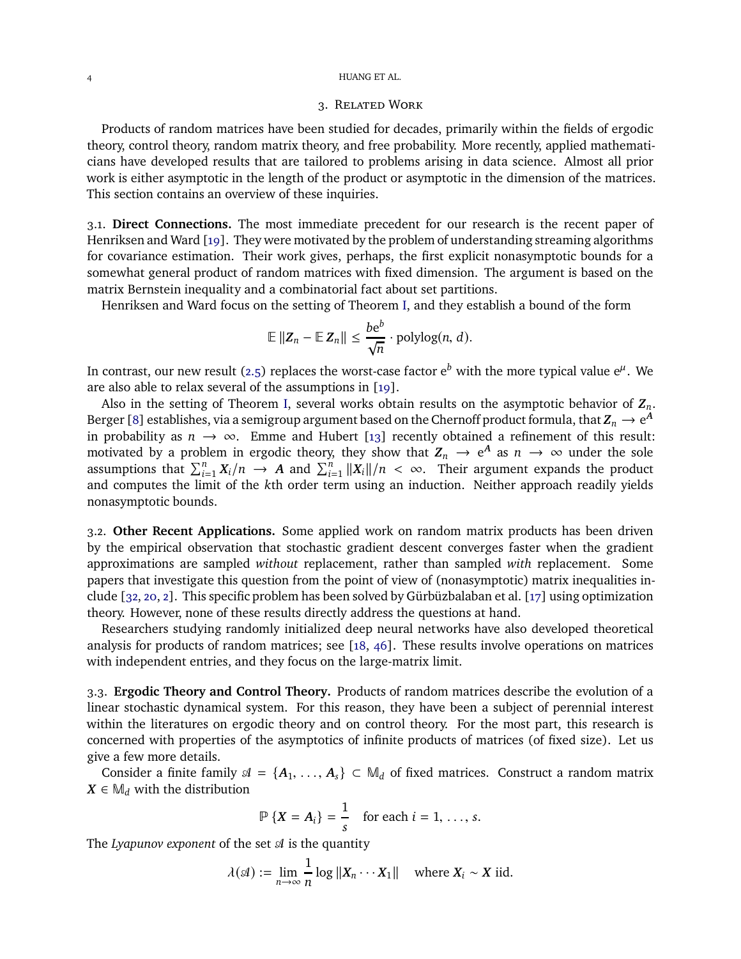## <span id="page-3-0"></span>4 HUANG ET AL.

# 3. Related Work

Products of random matrices have been studied for decades, primarily within the fields of ergodic theory, control theory, random matrix theory, and free probability. More recently, applied mathematicians have developed results that are tailored to problems arising in data science. Almost all prior work is either asymptotic in the length of the product or asymptotic in the dimension of the matrices. This section contains an overview of these inquiries.

3.1. **Direct Connections.** The most immediate precedent for our research is the recent paper of Henriksen and Ward [\[19\]](#page-19-0). They were motivated by the problem of understanding streaming algorithms for covariance estimation. Their work gives, perhaps, the first explicit nonasymptotic bounds for a somewhat general product of random matrices with fixed dimension. The argument is based on the matrix Bernstein inequality and a combinatorial fact about set partitions.

Henriksen and Ward focus on the setting of Theorem [I,](#page-1-3) and they establish a bound of the form

$$
\mathbb{E} \|Z_n - \mathbb{E} Z_n\| \leq \frac{be^b}{\sqrt{n}} \cdot \mathrm{polylog}(n, d).
$$

In contrast, our new result [\(2.5\)](#page-2-0) replaces the worst-case factor  ${\rm e}^b$  with the more typical value  ${\rm e}^\mu$ . We are also able to relax several of the assumptions in [\[19\]](#page-19-0).

Also in the setting of Theorem [I,](#page-1-3) several works obtain results on the asymptotic behavior of *Zn*. Berger [\[8\]](#page-19-2) establishes, via a semigroup argument based on the Chernoff product formula, that  $Z_n \to e^A$ in probability as  $n \to \infty$ . Emme and Hubert [\[13\]](#page-19-3) recently obtained a refinement of this result: motivated by a problem in ergodic theory, they show that  $Z_n \to e^A$  as  $n \to \infty$  under the sole assumptions that  $\sum_{i=1}^{n} X_i/n \rightarrow A$  and  $\sum_{i=1}^{n} ||X_i||/n < \infty$ . Their argument expands the product and computes the limit of the *k*th order term using an induction. Neither approach readily yields nonasymptotic bounds.

3.2. **Other Recent Applications.** Some applied work on random matrix products has been driven by the empirical observation that stochastic gradient descent converges faster when the gradient approximations are sampled *without* replacement, rather than sampled *with* replacement. Some papers that investigate this question from the point of view of (nonasymptotic) matrix inequalities include [\[32,](#page-20-9) [20,](#page-19-4) [2\]](#page-19-5). This specific problem has been solved by Gürbüzbalaban et al. [\[17\]](#page-19-6) using optimization theory. However, none of these results directly address the questions at hand.

Researchers studying randomly initialized deep neural networks have also developed theoretical analysis for products of random matrices; see [\[18,](#page-19-7) [46\]](#page-20-10). These results involve operations on matrices with independent entries, and they focus on the large-matrix limit.

3.3. **Ergodic Theory and Control Theory.** Products of random matrices describe the evolution of a linear stochastic dynamical system. For this reason, they have been a subject of perennial interest within the literatures on ergodic theory and on control theory. For the most part, this research is concerned with properties of the asymptotics of infinite products of matrices (of fixed size). Let us give a few more details.

Consider a finite family  $\mathcal{A} = \{A_1, \ldots, A_s\} \subset M_d$  of fixed matrices. Construct a random matrix  $X \in M_d$  with the distribution

$$
\mathbb{P}\left\{X=A_i\right\}=\frac{1}{s} \quad \text{for each } i=1,\ldots,s.
$$

The *Lyapunov exponent* of the set  $\mathcal A$  is the quantity

$$
\lambda(\mathcal{A}) := \lim_{n \to \infty} \frac{1}{n} \log ||X_n \cdots X_1|| \quad \text{where } X_i \sim X \text{ iid.}
$$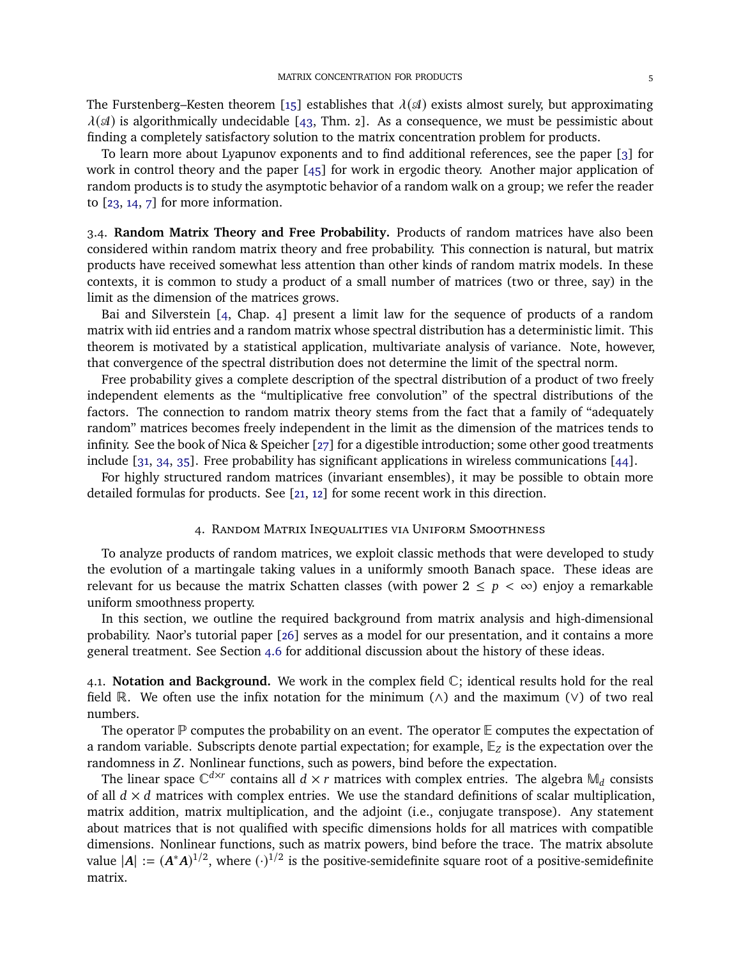The Furstenberg–Kesten theorem [\[15\]](#page-19-8) establishes that  $\lambda(\mathcal{A})$  exists almost surely, but approximating  $\lambda(\mathcal{A})$  is algorithmically undecidable [\[43,](#page-20-11) Thm. 2]. As a consequence, we must be pessimistic about finding a completely satisfactory solution to the matrix concentration problem for products.

To learn more about Lyapunov exponents and to find additional references, see the paper [\[3\]](#page-19-9) for work in control theory and the paper [\[45\]](#page-20-12) for work in ergodic theory. Another major application of random products is to study the asymptotic behavior of a random walk on a group; we refer the reader to [\[23,](#page-19-10) [14,](#page-19-11) [7\]](#page-19-12) for more information.

3.4. **Random Matrix Theory and Free Probability.** Products of random matrices have also been considered within random matrix theory and free probability. This connection is natural, but matrix products have received somewhat less attention than other kinds of random matrix models. In these contexts, it is common to study a product of a small number of matrices (two or three, say) in the limit as the dimension of the matrices grows.

Bai and Silverstein [\[4,](#page-19-13) Chap. 4] present a limit law for the sequence of products of a random matrix with iid entries and a random matrix whose spectral distribution has a deterministic limit. This theorem is motivated by a statistical application, multivariate analysis of variance. Note, however, that convergence of the spectral distribution does not determine the limit of the spectral norm.

Free probability gives a complete description of the spectral distribution of a product of two freely independent elements as the "multiplicative free convolution" of the spectral distributions of the factors. The connection to random matrix theory stems from the fact that a family of "adequately random" matrices becomes freely independent in the limit as the dimension of the matrices tends to infinity. See the book of Nica & Speicher [\[27\]](#page-20-13) for a digestible introduction; some other good treatments include [\[31,](#page-20-14) [34,](#page-20-15) [35\]](#page-20-16). Free probability has significant applications in wireless communications [\[44\]](#page-20-17).

<span id="page-4-0"></span>For highly structured random matrices (invariant ensembles), it may be possible to obtain more detailed formulas for products. See [\[21,](#page-19-14) [12\]](#page-19-15) for some recent work in this direction.

## 4. Random Matrix Inequalities via Uniform Smoothness

To analyze products of random matrices, we exploit classic methods that were developed to study the evolution of a martingale taking values in a uniformly smooth Banach space. These ideas are relevant for us because the matrix Schatten classes (with power  $2 \leq p \lt \infty$ ) enjoy a remarkable uniform smoothness property.

In this section, we outline the required background from matrix analysis and high-dimensional probability. Naor's tutorial paper [\[26\]](#page-20-8) serves as a model for our presentation, and it contains a more general treatment. See Section [4.6](#page-7-1) for additional discussion about the history of these ideas.

4.1. **Notation and Background.** We work in the complex field C; identical results hold for the real field R. We often use the infix notation for the minimum ( $\wedge$ ) and the maximum ( $\vee$ ) of two real numbers.

The operator  $\mathbb P$  computes the probability on an event. The operator  $\mathbb E$  computes the expectation of a random variable. Subscripts denote partial expectation; for example, E*<sup>Z</sup>* is the expectation over the randomness in *Z*. Nonlinear functions, such as powers, bind before the expectation.

The linear space  $\mathbb{C}^{d\times r}$  contains all  $d \times r$  matrices with complex entries. The algebra  $\mathbb{M}_d$  consists of all  $d \times d$  matrices with complex entries. We use the standard definitions of scalar multiplication, matrix addition, matrix multiplication, and the adjoint (i.e., conjugate transpose). Any statement about matrices that is not qualified with specific dimensions holds for all matrices with compatible dimensions. Nonlinear functions, such as matrix powers, bind before the trace. The matrix absolute value  $|A| := (A^*A)^{1/2}$ , where  $(\cdot)^{1/2}$  is the positive-semidefinite square root of a positive-semidefinite matrix.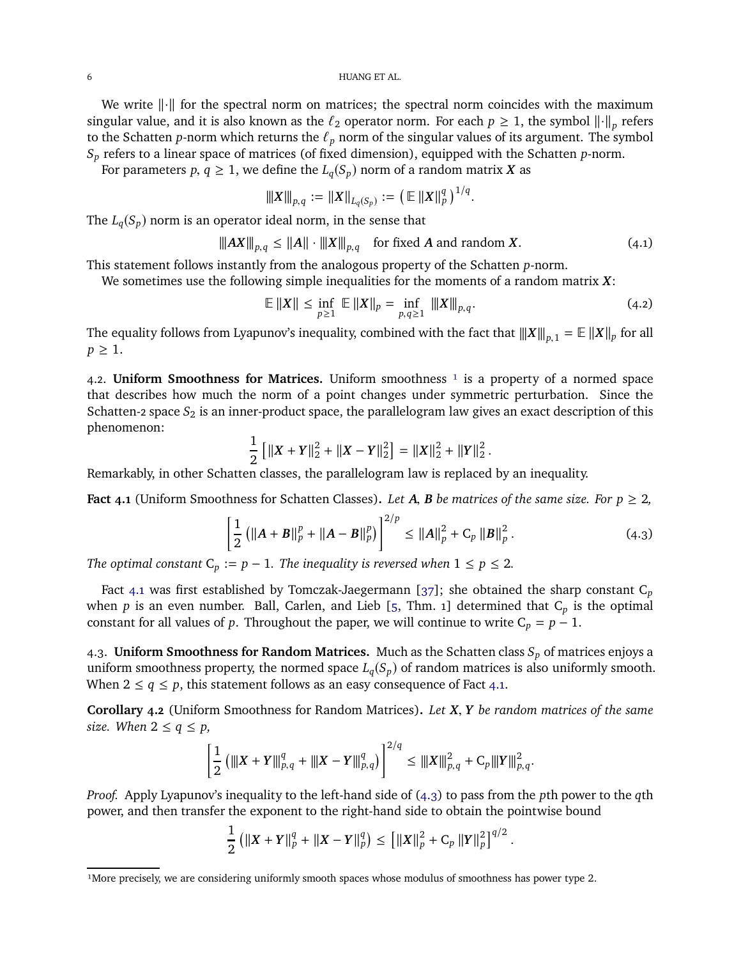#### 6 HUANG ET AL.

We write  $\lVert \cdot \rVert$  for the spectral norm on matrices; the spectral norm coincides with the maximum singular value, and it is also known as the  $\ell_2$  operator norm. For each  $p \ge 1$ , the symbol  $\|\cdot\|_p$  refers to the Schatten *p*-norm which returns the  $\ell_p$  norm of the singular values of its argument. The symbol *S<sup>p</sup>* refers to a linear space of matrices (of fixed dimension), equipped with the Schatten *p*-norm.

For parameters  $p, q \geq 1$ , we define the  $L_q(S_p)$  norm of a random matrix X as

<span id="page-5-4"></span>
$$
\|X\|_{p,q} := \|X\|_{L_q(S_p)} := (\mathbb{E} \|X\|_p^q)^{1/q}.
$$

The  $L_q(S_p)$  norm is an operator ideal norm, in the sense that

$$
\|AX\|_{p,q} \le \|A\| \cdot \|X\|_{p,q} \quad \text{for fixed } A \text{ and random } X. \tag{4.1}
$$

This statement follows instantly from the analogous property of the Schatten *p*-norm.

We sometimes use the following simple inequalities for the moments of a random matrix *X*:

<span id="page-5-3"></span>
$$
\mathbb{E} \|X\| \le \inf_{p \ge 1} \mathbb{E} \|X\|_p = \inf_{p,q \ge 1} \|X\|_{p,q}.
$$
 (4.2)

The equality follows from Lyapunov's inequality, combined with the fact that  $|||X||_{p,1} = \mathbb{E}||X||_p$  for all  $p \geq 1$ .

4.2. **Uniform Smoothness for Matrices.** Uniform smoothness  $\frac{1}{1}$  is a property of a normed space that describes how much the norm of a point changes under symmetric perturbation. Since the Schatten-2 space S<sub>2</sub> is an inner-product space, the parallelogram law gives an exact description of this phenomenon:

$$
\frac{1}{2} [||X + Y||_2^2 + ||X - Y||_2^2] = ||X||_2^2 + ||Y||_2^2.
$$

Remarkably, in other Schatten classes, the parallelogram law is replaced by an inequality.

<span id="page-5-0"></span>**Fact 4.1** (Uniform Smoothness for Schatten Classes). Let A, B be matrices of the same size. For  $p \ge 2$ ,

$$
\left[\frac{1}{2}\left(\|A+B\|_{p}^{p}+\|A-B\|_{p}^{p}\right)\right]^{2/p} \leq \|A\|_{p}^{2}+C_{p}\left\|B\right\|_{p}^{2}.
$$
\n(4.3)

<span id="page-5-1"></span>.

*The optimal constant*  $C_p := p - 1$ *. The inequality is reversed when*  $1 \leq p \leq 2$ *.* 

Fact [4.1](#page-5-0) was first established by Tomczak-Jaegermann [\[37\]](#page-20-18); she obtained the sharp constant C*<sup>p</sup>* when *p* is an even number. Ball, Carlen, and Lieb [\[5,](#page-19-16) Thm. 1] determined that C*<sup>p</sup>* is the optimal constant for all values of *p*. Throughout the paper, we will continue to write  $C_p = p - 1$ .

4.3. **Uniform Smoothness for Random Matrices.** Much as the Schatten class *S<sup>p</sup>* of matrices enjoys a uniform smoothness property, the normed space  $L_q(S_p)$  of random matrices is also uniformly smooth. When  $2 \leq q \leq p$ , this statement follows as an easy consequence of Fact [4.1.](#page-5-0)

<span id="page-5-2"></span>**Corollary 4.2** (Uniform Smoothness for Random Matrices)**.** *Let X*, *Y be random matrices of the same size.* When  $2 \le q \le p$ ,

$$
\left[\frac{1}{2}\left(\|X+Y\|_{p,q}^q+\|X-Y\|_{p,q}^q\right)\right]^{2/q}\leq\|X\|_{p,q}^2+C_p\|Y\|_{p,q}^2.
$$

*Proof.* Apply Lyapunov's inequality to the left-hand side of [\(4.3\)](#page-5-1) to pass from the *p*th power to the *q*th power, and then transfer the exponent to the right-hand side to obtain the pointwise bound

$$
\frac{1}{2} \left( \|X + Y\|_p^q + \|X - Y\|_p^q \right) \le \left[ \|X\|_p^2 + C_p \|Y\|_p^2 \right]^{q/2}
$$

<sup>&</sup>lt;sup>1</sup>More precisely, we are considering uniformly smooth spaces whose modulus of smoothness has power type 2.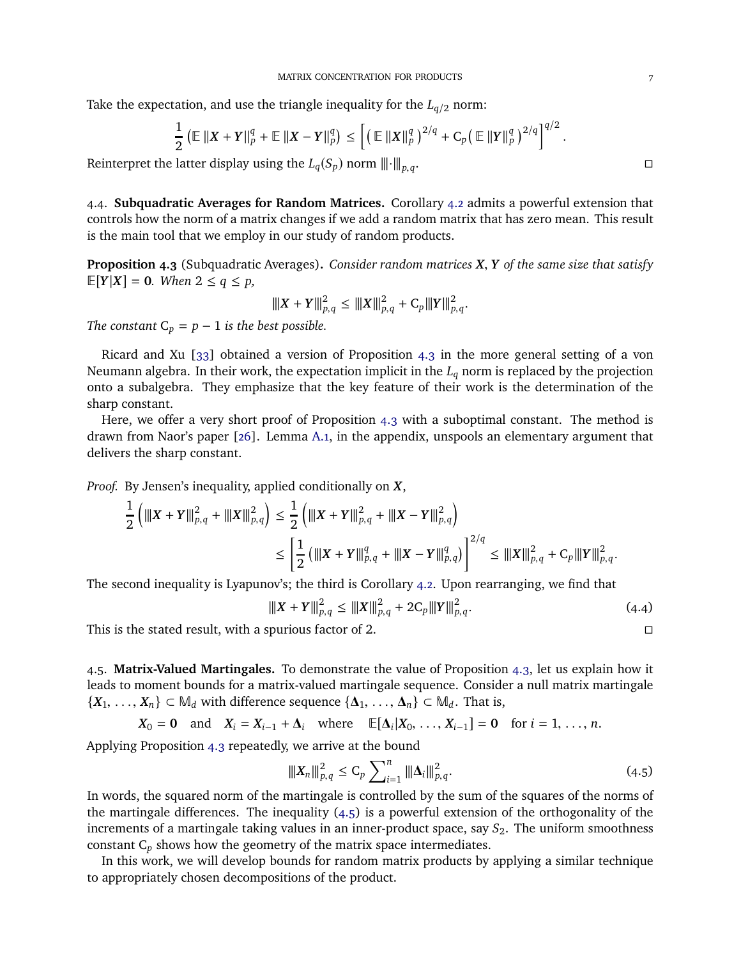Take the expectation, and use the triangle inequality for the  $L_{q/2}$  norm:

$$
\frac{1}{2} \left( \mathbb{E} \left\| X + Y \right\|_p^q + \mathbb{E} \left\| X - Y \right\|_p^q \right) \le \left[ \left( \left. \mathbb{E} \left\| X \right\|_p^q \right)^{2/q} + C_p \left( \left. \mathbb{E} \left\| Y \right\|_p^q \right)^{2/q} \right]^{q/2} \right]
$$

Reinterpret the latter display using the  $L_q(S_p)$  norm  $\|\cdot\|_{p,q}$ . . В последните последните последните под селото на селото на селото на селото на селото на селото на селото на<br>Селото на селото на селото на селото на селото на селото на селото на селото на селото на селото на селото на

4.4. **Subquadratic Averages for Random Matrices.** Corollary [4.2](#page-5-2) admits a powerful extension that controls how the norm of a matrix changes if we add a random matrix that has zero mean. This result is the main tool that we employ in our study of random products.

<span id="page-6-0"></span>**Proposition 4.3** (Subquadratic Averages)**.** *Consider random matrices X*, *Y of the same size that satisfy*  $E[Y|X] = 0$ *. When*  $2 \le q \le p$ *,* 

$$
|||X+Y|||_{p,q}^2 \leq |||X|||_{p,q}^2 + C_p|||Y|||_{p,q}^2.
$$

*The constant*  $C_p = p - 1$  *is the best possible.* 

Ricard and Xu [\[33\]](#page-20-19) obtained a version of Proposition [4.3](#page-6-0) in the more general setting of a von Neumann algebra. In their work, the expectation implicit in the *L<sup>q</sup>* norm is replaced by the projection onto a subalgebra. They emphasize that the key feature of their work is the determination of the sharp constant.

Here, we offer a very short proof of Proposition [4.3](#page-6-0) with a suboptimal constant. The method is drawn from Naor's paper [\[26\]](#page-20-8). Lemma [A.1,](#page-18-0) in the appendix, unspools an elementary argument that delivers the sharp constant.

*Proof.* By Jensen's inequality, applied conditionally on *X*,

$$
\frac{1}{2} \left( \left\| \left\| X + Y \right\| \right\|_{p,q}^2 + \left\| \left\| X \right\| \right\|_{p,q}^2 \right) \le \frac{1}{2} \left( \left\| \left\| X + Y \right\| \right\|_{p,q}^2 + \left\| \left\| X - Y \right\| \right\|_{p,q}^2 \right) \le \left[ \frac{1}{2} \left( \left\| \left\| X + Y \right\| \right\|_{p,q}^q + \left\| \left\| X - Y \right\| \right\|_{p,q}^q \right) \right]^{2/q} \le \left\| \left\| X \right\| \right\|_{p,q}^2 + C_p \left\| \left\| Y \right\| \right\|_{p,q}^2.
$$

The second inequality is Lyapunov's; the third is Corollary [4.2.](#page-5-2) Upon rearranging, we find that

<span id="page-6-2"></span>
$$
\|X + Y\|_{p,q}^2 \le \|X\|_{p,q}^2 + 2C_p \|Y\|_{p,q}^2. \tag{4.4}
$$

This is the stated result, with a spurious factor of 2.

4.5. **Matrix-Valued Martingales.** To demonstrate the value of Proposition [4.3,](#page-6-0) let us explain how it leads to moment bounds for a matrix-valued martingale sequence. Consider a null matrix martingale  ${X_1, \ldots, X_n} \subset M_d$  with difference sequence  ${\{\Delta_1, \ldots, \Delta_n\}} \subset M_d$ . That is,

 $X_0 = 0$  and  $X_i = X_{i-1} + \Delta_i$  where  $\mathbb{E}[\Delta_i | X_0, \ldots, X_{i-1}] = 0$  for  $i = 1, \ldots, n$ .

Applying Proposition [4.3](#page-6-0) repeatedly, we arrive at the bound

<span id="page-6-1"></span>
$$
\|X_n\|_{p,q}^2 \le C_p \sum_{i=1}^n \|\Delta_i\|_{p,q}^2.
$$
 (4.5)

In words, the squared norm of the martingale is controlled by the sum of the squares of the norms of the martingale differences. The inequality [\(4.5\)](#page-6-1) is a powerful extension of the orthogonality of the increments of a martingale taking values in an inner-product space, say  $S_2$ . The uniform smoothness constant C*<sup>p</sup>* shows how the geometry of the matrix space intermediates.

In this work, we will develop bounds for random matrix products by applying a similar technique to appropriately chosen decompositions of the product.

.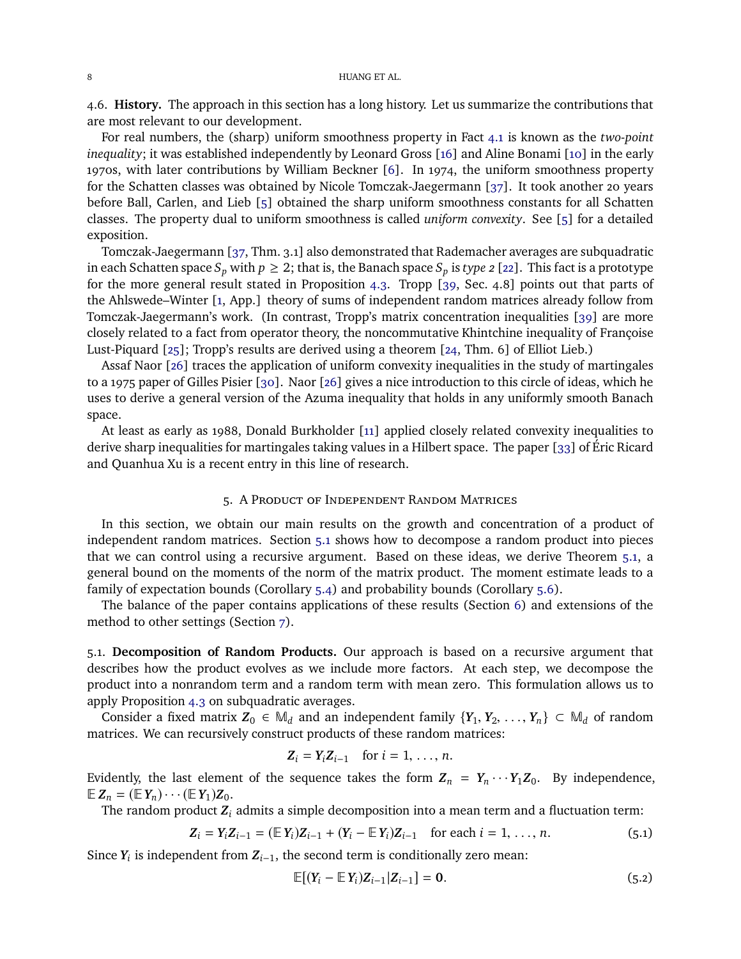<span id="page-7-1"></span>4.6. **History.** The approach in this section has a long history. Let us summarize the contributions that are most relevant to our development.

For real numbers, the (sharp) uniform smoothness property in Fact [4.1](#page-5-0) is known as the *two-point inequality*; it was established independently by Leonard Gross [\[16\]](#page-19-17) and Aline Bonami [\[10\]](#page-19-18) in the early 1970s, with later contributions by William Beckner [\[6\]](#page-19-19). In 1974, the uniform smoothness property for the Schatten classes was obtained by Nicole Tomczak-Jaegermann [\[37\]](#page-20-18). It took another 20 years before Ball, Carlen, and Lieb [\[5\]](#page-19-16) obtained the sharp uniform smoothness constants for all Schatten classes. The property dual to uniform smoothness is called *uniform convexity*. See [\[5\]](#page-19-16) for a detailed exposition.

Tomczak-Jaegermann [\[37,](#page-20-18) Thm. 3.1] also demonstrated that Rademacher averages are subquadratic in each Schatten space  $S_p$  with  $p \geq 2$ ; that is, the Banach space  $S_p$  is *type 2* [\[22\]](#page-19-20). This fact is a prototype for the more general result stated in Proposition [4.3.](#page-6-0) Tropp [\[39,](#page-20-4) Sec. 4.8] points out that parts of the Ahlswede–Winter [\[1,](#page-19-1) App.] theory of sums of independent random matrices already follow from Tomczak-Jaegermann's work. (In contrast, Tropp's matrix concentration inequalities [\[39\]](#page-20-4) are more closely related to a fact from operator theory, the noncommutative Khintchine inequality of Françoise Lust-Piquard [\[25\]](#page-20-20); Tropp's results are derived using a theorem [\[24,](#page-20-21) Thm. 6] of Elliot Lieb.)

Assaf Naor [\[26\]](#page-20-8) traces the application of uniform convexity inequalities in the study of martingales to a 1975 paper of Gilles Pisier [\[30\]](#page-20-22). Naor [\[26\]](#page-20-8) gives a nice introduction to this circle of ideas, which he uses to derive a general version of the Azuma inequality that holds in any uniformly smooth Banach space.

At least as early as 1988, Donald Burkholder [\[11\]](#page-19-21) applied closely related convexity inequalities to derive sharp inequalities for martingales taking values in a Hilbert space. The paper [\[33\]](#page-20-19) of Éric Ricard and Quanhua Xu is a recent entry in this line of research.

# 5. A Product of Independent Random Matrices

<span id="page-7-0"></span>In this section, we obtain our main results on the growth and concentration of a product of independent random matrices. Section [5.1](#page-7-2) shows how to decompose a random product into pieces that we can control using a recursive argument. Based on these ideas, we derive Theorem [5.1,](#page-8-0) a general bound on the moments of the norm of the matrix product. The moment estimate leads to a family of expectation bounds (Corollary [5.4\)](#page-10-0) and probability bounds (Corollary [5.6\)](#page-10-1).

The balance of the paper contains applications of these results (Section [6\)](#page-11-0) and extensions of the method to other settings (Section [7\)](#page-14-0).

<span id="page-7-2"></span>5.1. **Decomposition of Random Products.** Our approach is based on a recursive argument that describes how the product evolves as we include more factors. At each step, we decompose the product into a nonrandom term and a random term with mean zero. This formulation allows us to apply Proposition [4.3](#page-6-0) on subquadratic averages.

Consider a fixed matrix  $Z_0 \in M_d$  and an independent family  $\{Y_1, Y_2, \ldots, Y_n\} \subset M_d$  of random matrices. We can recursively construct products of these random matrices:

$$
Z_i = Y_i Z_{i-1} \quad \text{for } i = 1, \ldots, n.
$$

Evidently, the last element of the sequence takes the form  $Z_n = Y_n \cdots Y_1 Z_0$ . By independence,  $\mathbb{E} Z_n = (\mathbb{E} Y_n) \cdots (\mathbb{E} Y_1) Z_0.$ 

The random product *Z<sup>i</sup>* admits a simple decomposition into a mean term and a fluctuation term:

$$
Z_i = Y_i Z_{i-1} = (\mathbb{E} Y_i) Z_{i-1} + (Y_i - \mathbb{E} Y_i) Z_{i-1} \text{ for each } i = 1, ..., n.
$$
 (5.1)

Since  $Y_i$  is independent from  $Z_{i-1}$ , the second term is conditionally zero mean:

<span id="page-7-4"></span><span id="page-7-3"></span>
$$
\mathbb{E}[(Y_i - \mathbb{E} Y_i)Z_{i-1}|Z_{i-1}] = 0. \tag{5.2}
$$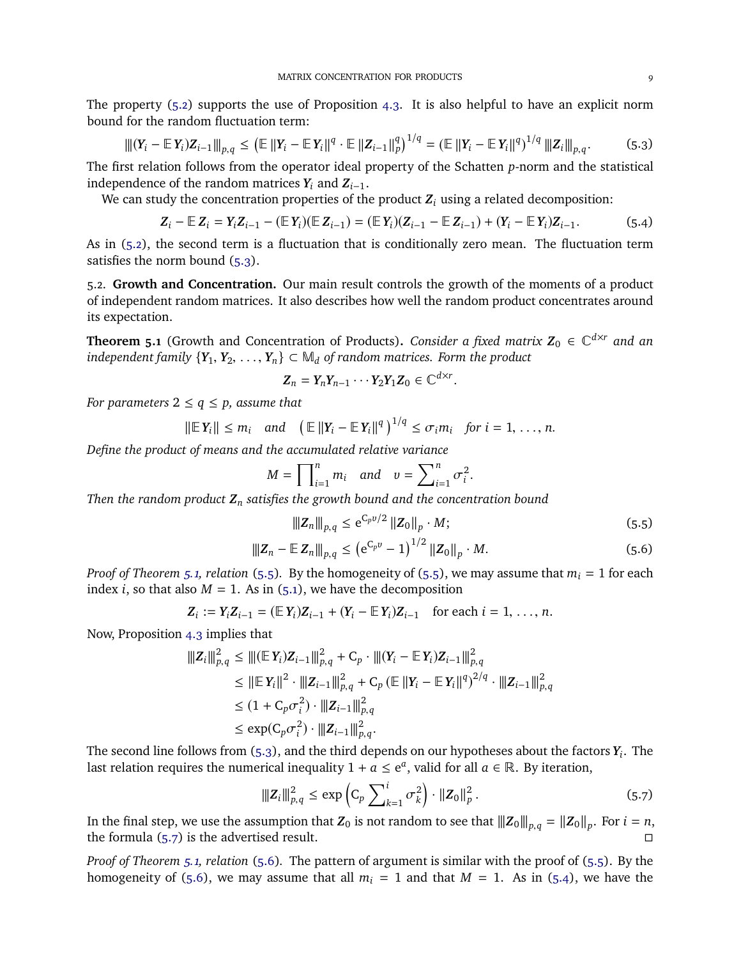The property [\(5.2\)](#page-7-3) supports the use of Proposition [4.3.](#page-6-0) It is also helpful to have an explicit norm bound for the random fluctuation term:

$$
\|[(Y_i - \mathbb{E} Y_i)Z_{i-1}\|_{p,q} \leq (\mathbb{E} ||Y_i - \mathbb{E} Y_i||^q \cdot \mathbb{E} ||Z_{i-1}||_p^q)^{1/q} = (\mathbb{E} ||Y_i - \mathbb{E} Y_i||^q)^{1/q} \|Z_i\|_{p,q}.
$$
 (5.3)

The first relation follows from the operator ideal property of the Schatten *p*-norm and the statistical independence of the random matrices  $Y_i$  and  $Z_{i-1}$ .

We can study the concentration properties of the product  $Z_i$  using a related decomposition:

$$
Z_i - \mathbb{E} Z_i = Y_i Z_{i-1} - (\mathbb{E} Y_i)(\mathbb{E} Z_{i-1}) = (\mathbb{E} Y_i)(Z_{i-1} - \mathbb{E} Z_{i-1}) + (Y_i - \mathbb{E} Y_i)Z_{i-1}.
$$
 (5.4)

As in [\(5.2\)](#page-7-3), the second term is a fluctuation that is conditionally zero mean. The fluctuation term satisfies the norm bound [\(5.3\)](#page-8-1).

5.2. **Growth and Concentration.** Our main result controls the growth of the moments of a product of independent random matrices. It also describes how well the random product concentrates around its expectation.

<span id="page-8-0"></span>**Theorem 5.1** (Growth and Concentration of Products). *Consider a fixed matrix*  $Z_0 \in \mathbb{C}^{d \times r}$  and an *independent family*  ${Y_1, Y_2, \ldots, Y_n} \subset M_d$  *of random matrices. Form the product* 

$$
\mathbf{Z}_n = \mathbf{Y}_n \mathbf{Y}_{n-1} \cdots \mathbf{Y}_2 \mathbf{Y}_1 \mathbf{Z}_0 \in \mathbb{C}^{d \times r}
$$

*For parameters*  $2 \le q \le p$ *, assume that* 

$$
\|\mathbb{E} \, Y_i\| \leq m_i \quad \text{and} \quad \left(\mathbb{E} \, \|Y_i - \mathbb{E} \, Y_i\|^q\right)^{1/q} \leq \sigma_i m_i \quad \text{for } i = 1, \ldots, n.
$$

*Define the product of means and the accumulated relative variance*

$$
M = \prod_{i=1}^{n} m_i \quad \text{and} \quad v = \sum_{i=1}^{n} \sigma_i^2
$$

*Then the random product Z<sup>n</sup> satisfies the growth bound and the concentration bound*

$$
\|Z_n\|_{p,q} \le e^{C_p v/2} \|Z_0\|_p \cdot M; \tag{5.5}
$$

<span id="page-8-4"></span><span id="page-8-3"></span><span id="page-8-2"></span>.

$$
|||Z_n - \mathbb{E} |Z_n||_{p,q} \le (e^{C_p v} - 1)^{1/2} ||Z_0||_p \cdot M. \tag{5.6}
$$

<span id="page-8-5"></span><span id="page-8-1"></span>.

*Proof of Theorem [5.1,](#page-8-0) relation* [\(5.5\)](#page-8-2). By the homogeneity of [\(5.5\)](#page-8-2), we may assume that  $m_i = 1$  for each index *i*, so that also  $M = 1$ . As in [\(5.1\)](#page-7-4), we have the decomposition

$$
Z_i := Y_i Z_{i-1} = (\mathbb{E} Y_i) Z_{i-1} + (Y_i - \mathbb{E} Y_i) Z_{i-1} \text{ for each } i = 1, ..., n.
$$

Now, Proposition [4.3](#page-6-0) implies that

$$
\begin{aligned}\n||Z_i||_{p,q}^2 &\leq |||(\mathbb{E}Y_i)Z_{i-1}||_{p,q}^2 + C_p \cdot ||| (Y_i - \mathbb{E}Y_i)Z_{i-1}||_{p,q}^2 \\
&\leq ||\mathbb{E}Y_i||^2 \cdot |||Z_{i-1}||_{p,q}^2 + C_p (\mathbb{E}||Y_i - \mathbb{E}Y_i||^q)^{2/q} \cdot |||Z_{i-1}||_{p,q}^2 \\
&\leq (1 + C_p \sigma_i^2) \cdot |||Z_{i-1}||_{p,q}^2 \\
&\leq \exp(C_p \sigma_i^2) \cdot |||Z_{i-1}||_{p,q}^2.\n\end{aligned}
$$

The second line follows from [\(5.3\)](#page-8-1), and the third depends on our hypotheses about the factors *Y<sup>i</sup>* . The last relation requires the numerical inequality  $1 + a \le e^a$ , valid for all  $a \in \mathbb{R}$ . By iteration,

$$
\|Z_i\|_{p,q}^2 \le \exp\left(C_p \sum_{k=1}^i \sigma_k^2\right) \cdot \|Z_0\|_p^2. \tag{5.7}
$$

In the final step, we use the assumption that  $\mathbf{Z}_0$  is not random to see that  $||| \mathbf{Z}_0 ||_{p,q} = ||\mathbf{Z}_0 ||_p$ . For  $i = n$ , the formula [\(5.7\)](#page-8-3) is the advertised result.

*Proof of Theorem [5.1,](#page-8-0) relation* [\(5.6\)](#page-8-4)*.* The pattern of argument is similar with the proof of [\(5.5\)](#page-8-2). By the homogeneity of [\(5.6\)](#page-8-4), we may assume that all  $m_i = 1$  and that  $M = 1$ . As in [\(5.4\)](#page-8-5), we have the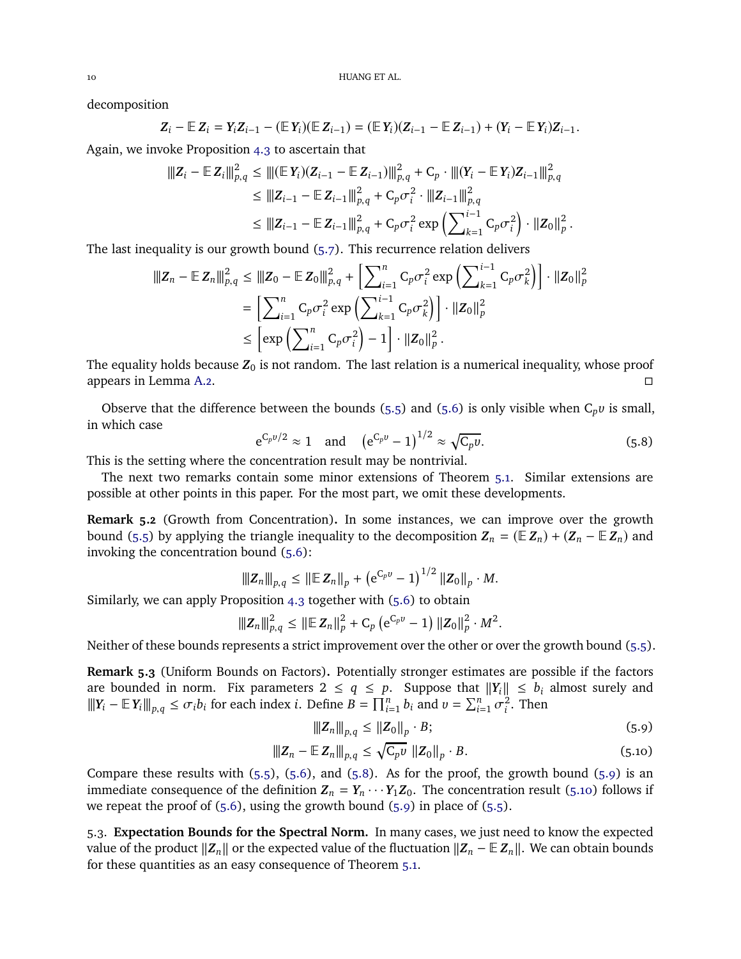decomposition

$$
Z_i - \mathbb{E} Z_i = Y_i Z_{i-1} - (\mathbb{E} Y_i)(\mathbb{E} Z_{i-1}) = (\mathbb{E} Y_i)(Z_{i-1} - \mathbb{E} Z_{i-1}) + (Y_i - \mathbb{E} Y_i)Z_{i-1}.
$$

Again, we invoke Proposition [4.3](#page-6-0) to ascertain that

$$
\begin{aligned} \|\mathbf{Z}_{i} - \mathbb{E} \mathbf{Z}_{i} \|_{p,q}^{2} &\leq \|\|\mathbb{E} \mathbf{Y}_{i}\| \mathbf{Z}_{i-1} - \mathbb{E} \mathbf{Z}_{i-1}\| \|_{p,q}^{2} + C_{p} \cdot \| \|\mathbf{Y}_{i} - \mathbb{E} \mathbf{Y}_{i}\| \mathbf{Z}_{i-1} \|_{p,q}^{2} \\ &\leq \|\mathbf{Z}_{i-1} - \mathbb{E} \mathbf{Z}_{i-1} \|_{p,q}^{2} + C_{p} \sigma_{i}^{2} \cdot \| \|\mathbf{Z}_{i-1} \|_{p,q}^{2} \\ &\leq \|\mathbf{Z}_{i-1} - \mathbb{E} \mathbf{Z}_{i-1} \|_{p,q}^{2} + C_{p} \sigma_{i}^{2} \exp \left( \sum_{k=1}^{i-1} C_{p} \sigma_{i}^{2} \right) \cdot \| \mathbf{Z}_{0} \|_{p}^{2} \, . \end{aligned}
$$

The last inequality is our growth bound [\(5.7\)](#page-8-3). This recurrence relation delivers

$$
\|Z_n - \mathbb{E} Z_n\|_{p,q}^2 \le \|Z_0 - \mathbb{E} Z_0\|_{p,q}^2 + \left[\sum_{i=1}^n C_p \sigma_i^2 \exp\left(\sum_{k=1}^{i-1} C_p \sigma_k^2\right)\right] \cdot \|Z_0\|_p^2
$$
  

$$
= \left[\sum_{i=1}^n C_p \sigma_i^2 \exp\left(\sum_{k=1}^{i-1} C_p \sigma_k^2\right)\right] \cdot \|Z_0\|_p^2
$$
  

$$
\le \left[\exp\left(\sum_{i=1}^n C_p \sigma_i^2\right) - 1\right] \cdot \|Z_0\|_p^2.
$$

The equality holds because  $Z_0$  is not random. The last relation is a numerical inequality, whose proof appears in Lemma [A.2.](#page-19-22)

Observe that the difference between the bounds [\(5.5\)](#page-8-2) and [\(5.6\)](#page-8-4) is only visible when  $C_p v$  is small, in which case

<span id="page-9-0"></span>
$$
e^{C_p v/2} \approx 1
$$
 and  $(e^{C_p v} - 1)^{1/2} \approx \sqrt{C_p v}$ . (5.8)

This is the setting where the concentration result may be nontrivial.

The next two remarks contain some minor extensions of Theorem [5.1.](#page-8-0) Similar extensions are possible at other points in this paper. For the most part, we omit these developments.

**Remark 5.2** (Growth from Concentration)**.** In some instances, we can improve over the growth bound [\(5.5\)](#page-8-2) by applying the triangle inequality to the decomposition  $Z_n = (\mathbb{E} Z_n) + (Z_n - \mathbb{E} Z_n)$  and invoking the concentration bound [\(5.6\)](#page-8-4):

$$
|||Z_n||_{p,q} \leq ||E Z_n||_p + (e^{C_p v} - 1)^{1/2} ||Z_0||_p \cdot M.
$$

Similarly, we can apply Proposition [4.3](#page-6-0) together with [\(5.6\)](#page-8-4) to obtain

$$
\|Z_n\|_{p,q}^2 \leq \|\mathbb{E} Z_n\|_p^2 + C_p (e^{C_p v} - 1) \|Z_0\|_p^2 \cdot M^2.
$$

Neither of these bounds represents a strict improvement over the other or over the growth bound [\(5.5\)](#page-8-2).

<span id="page-9-3"></span>**Remark 5.3** (Uniform Bounds on Factors)**.** Potentially stronger estimates are possible if the factors are bounded in norm. Fix parameters  $2 \le q \le p$ . Suppose that  $||Y_i|| \le b_i$  almost surely and  $|||Y_i - \mathbb{E}[Y_i]||_{p,q} \leq \sigma_i b_i$  for each index *i*. Define  $B = \prod_{i=1}^n b_i$  and  $v = \sum_{i=1}^n \sigma_i^2$  $\frac{2}{i}$ . Then

<span id="page-9-2"></span><span id="page-9-1"></span>
$$
\|Z_n\|_{p,q} \le \|Z_0\|_p \cdot B; \tag{5.9}
$$

$$
|||Z_n - \mathbb{E} |Z_n||_{p,q} \le \sqrt{C_p \nu} ||Z_0||_p \cdot B. \tag{5.10}
$$

Compare these results with  $(5.5)$ ,  $(5.6)$ , and  $(5.8)$ . As for the proof, the growth bound  $(5.9)$  is an immediate consequence of the definition  $Z_n = Y_n \cdots Y_1 Z_0$ . The concentration result [\(5.10\)](#page-9-2) follows if we repeat the proof of  $(5.6)$ , using the growth bound  $(5.9)$  in place of  $(5.5)$ .

5.3. **Expectation Bounds for the Spectral Norm.** In many cases, we just need to know the expected value of the product  $\|Z_n\|$  or the expected value of the fluctuation  $\|Z_n - \mathbb{E} Z_n\|$ . We can obtain bounds for these quantities as an easy consequence of Theorem [5.1.](#page-8-0)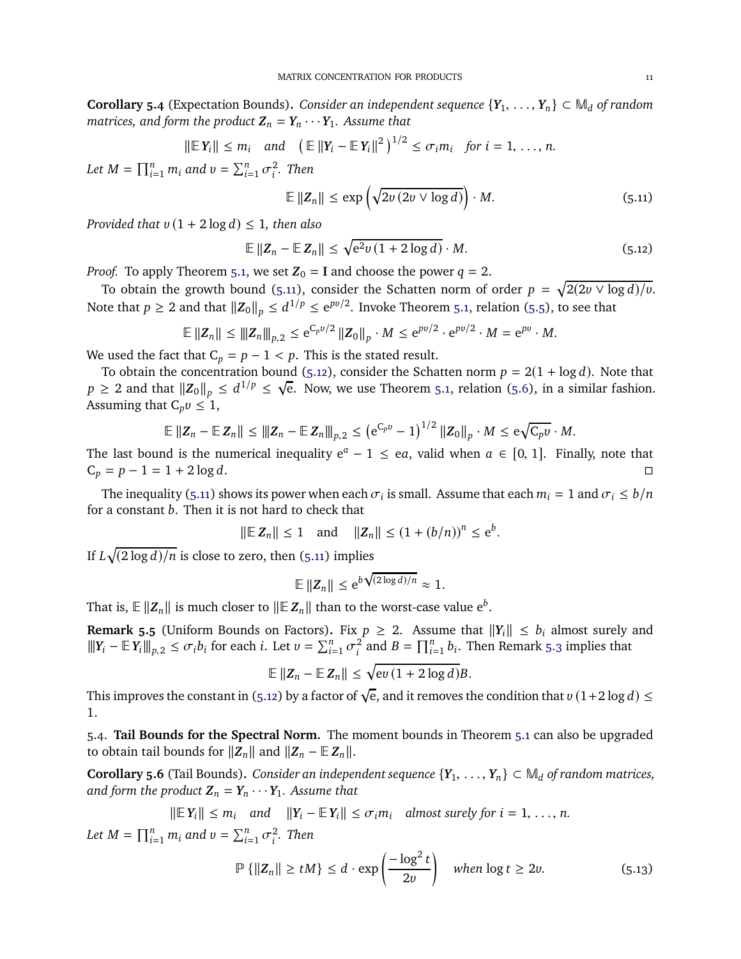<span id="page-10-0"></span>**Corollary 5.4** (Expectation Bounds). *Consider an independent sequence*  $\{Y_1, \ldots, Y_n\} \subset M_d$  *of random matrices, and form the product*  $Z_n = Y_n \cdots Y_1$ *. Assume that* 

$$
\|\mathbb{E}\,Y_i\| \leq m_i \quad \text{and} \quad \left(\mathbb{E}\,\|Y_i - \mathbb{E}\,Y_i\|^2\right)^{1/2} \leq \sigma_i m_i \quad \text{for } i = 1, \ldots, n.
$$
  

$$
\prod_{i=1}^n m_i \text{ and } v = \sum_{i=1}^n \sigma_i^2. \text{ Then}
$$

<span id="page-10-3"></span><span id="page-10-2"></span>
$$
\mathbb{E} \|Z_n\| \le \exp\left(\sqrt{2\nu\left(2\nu\vee\log d\right)}\right) \cdot M. \tag{5.11}
$$

*Provided that*  $v(1 + 2 \log d) \leq 1$ *, then also* 

 $Let M =$ 

$$
\mathbb{E} \left\| Z_n - \mathbb{E} \, Z_n \right\| \le \sqrt{e^2 v \left( 1 + 2 \log d \right)} \cdot M. \tag{5.12}
$$

*Proof.* To apply Theorem [5.1,](#page-8-0) we set  $Z_0 = I$  and choose the power  $q = 2$ .

To obtain the growth bound [\(5.11\)](#page-10-2), consider the Schatten norm of order  $p = \sqrt{2(2v \vee \log d)/v}$ . Note that  $p \ge 2$  and that  $||\mathbf{Z}_0||_p \le d^{1/p} \le e^{pv/2}$ . Invoke Theorem [5.1,](#page-8-0) relation [\(5.5\)](#page-8-2), to see that

$$
\mathbb{E} \|Z_n\| \le \|Z_n\|_{p,2} \le e^{C_p v/2} \|Z_0\|_p \cdot M \le e^{pv/2} \cdot e^{pv/2} \cdot M = e^{pv} \cdot M.
$$

We used the fact that  $C_p = p - 1 < p$ . This is the stated result.

To obtain the concentration bound [\(5.12\)](#page-10-3), consider the Schatten norm  $p = 2(1 + \log d)$ . Note that  $p \ge 2$  and that  $||Z_0||_p \le d^{1/p} \le \sqrt{e}$ . Now, we use Theorem [5.1,](#page-8-0) relation [\(5.6\)](#page-8-4), in a similar fashion. Assuming that  $C_p v \leq 1$ ,

$$
\mathbb{E} \|Z_n - \mathbb{E} Z_n\| \le \|Z_n - \mathbb{E} Z_n\|_{p,2} \le (e^{C_p v} - 1)^{1/2} \|Z_0\|_p \cdot M \le e\sqrt{C_p v} \cdot M.
$$

The last bound is the numerical inequality  $e^a - 1 \leq ea$ , valid when  $a \in [0, 1]$ . Finally, note that  $C_p = p - 1 = 1 + 2 \log d$ .

The inequality [\(5.11\)](#page-10-2) shows its power when each  $\sigma_i$  is small. Assume that each  $m_i = 1$  and  $\sigma_i \le b/n$ for a constant *b*. Then it is not hard to check that

$$
||\mathbb{E} Z_n|| \le 1
$$
 and  $||Z_n|| \le (1 + (b/n))^n \le e^b$ .

If  $L\sqrt{(2\log d)/n}$  is close to zero, then [\(5.11\)](#page-10-2) implies

$$
\mathbb{E} \|Z_n\| \leq e^{b\sqrt{(2\log d)/n}} \approx 1.
$$

That is,  $\mathbb{E} \left\| \mathbf{Z}_n \right\|$  is much closer to  $\| \mathbb{E} \mathbf{Z}_n \|$  than to the worst-case value  $\mathrm{e}^b.$ 

<span id="page-10-5"></span>**Remark 5.5** (Uniform Bounds on Factors). Fix  $p \geq 2$ . Assume that  $||Y_i|| \leq b_i$  almost surely and  $\left\|\|Y_i - \mathbb{E}\left[Y_i\right]\|_{p,2} \leq \sigma_i b_i \text{ for each } i. \text{ Let } \nu = \sum_{i=1}^n \sigma_i^2$  $\sum_{i=1}^{n} b_i$ . Then Remark [5.3](#page-9-3) implies that

$$
\mathbb{E} \|Z_n - \mathbb{E} Z_n\| \leq \sqrt{\mathrm{e}v\,(1+2\log d)}B.
$$

This improves the constant in [\(5.12\)](#page-10-3) by a factor of  $\sqrt{e}$ , and it removes the condition that  $v(1+2\log d) \leq$ 1.

5.4. **Tail Bounds for the Spectral Norm.** The moment bounds in Theorem [5.1](#page-8-0) can also be upgraded to obtain tail bounds for  $||Z_n||$  and  $||Z_n - \mathbb{E} Z_n||$ .

<span id="page-10-1"></span>**Corollary 5.6** (Tail Bounds). *Consider an independent sequence*  $\{Y_1, \ldots, Y_n\} \subset M_d$  *of random matrices, and form the product*  $Z_n = Y_n \cdots Y_1$ *. Assume that* 

$$
\|\mathbb{E} Y_i\| \leq m_i \quad \text{and} \quad \|Y_i - \mathbb{E} Y_i\| \leq \sigma_i m_i \quad \text{almost surely for } i = 1, \ldots, n.
$$

*Let*  $M = \prod_{i=1}^{n} m_i$  *and*  $v = \sum_{i=1}^{n} \sigma_i^2$ *i . Then*

<span id="page-10-4"></span>
$$
\mathbb{P}\left\{\|Z_n\| \ge tM\right\} \le d \cdot \exp\left(\frac{-\log^2 t}{2v}\right) \quad \text{when } \log t \ge 2v. \tag{5.13}
$$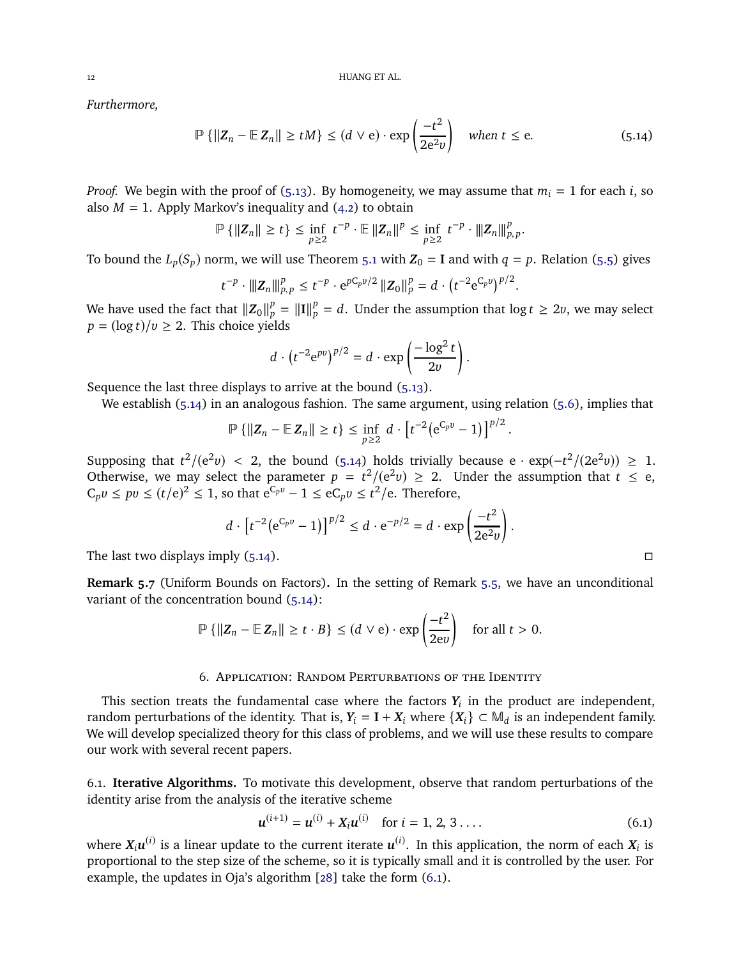*Furthermore,*

$$
\mathbb{P}\left\{\|Z_n - \mathbb{E}\,Z_n\| \ge tM\right\} \le (d \vee e) \cdot \exp\left(\frac{-t^2}{2e^2v}\right) \quad \text{when } t \le e. \tag{5.14}
$$

*Proof.* We begin with the proof of [\(5.13\)](#page-10-4). By homogeneity, we may assume that  $m_i = 1$  for each *i*, so also  $M = 1$ . Apply Markov's inequality and  $(4.2)$  to obtain

$$
\mathbb{P}\left\{\|Z_n\|\geq t\right\}\leq \inf_{p\geq 2} t^{-p}\cdot \mathbb{E}\left\|Z_n\right\|^p\leq \inf_{p\geq 2} t^{-p}\cdot \left\|Z_n\right\|^p_{p,p}.
$$

To bound the  $L_p(S_p)$  norm, we will use Theorem [5.1](#page-8-0) with  $Z_0 = I$  and with  $q = p$ . Relation [\(5.5\)](#page-8-2) gives

$$
t^{-p} \cdot \|Z_n\|_{p,p}^p \leq t^{-p} \cdot e^{pC_p v/2} \|Z_0\|_p^p = d \cdot (t^{-2} e^{C_p v})^{p/2}.
$$

We have used the fact that  $||Z_0||_p^p = ||I||_p^p = d$ . Under the assumption that  $\log t \ge 2v$ , we may select  $p = (\log t)/v \geq 2$ . This choice yields

<span id="page-11-1"></span>
$$
d \cdot \left( t^{-2} e^{pv} \right)^{p/2} = d \cdot \exp \left( \frac{-\log^2 t}{2v} \right).
$$

Sequence the last three displays to arrive at the bound [\(5.13\)](#page-10-4).

We establish [\(5.14\)](#page-11-1) in an analogous fashion. The same argument, using relation [\(5.6\)](#page-8-4), implies that

$$
\mathbb{P}\left\{\|Z_n - \mathbb{E}\,Z_n\| \geq t\right\} \leq \inf_{p \geq 2} d \cdot \left[t^{-2} \big(e^{C_p v} - 1\big)\right]^{p/2}.
$$

Supposing that  $t^2/(e^2v) < 2$ , the bound [\(5.14\)](#page-11-1) holds trivially because  $e \cdot \exp(-t^2/(2e^2v)) \ge 1$ . Otherwise, we may select the parameter  $p = t^2/(e^2v) \ge 2$ . Under the assumption that  $t \le e$ ,  $C_p v \le pv \le (t/e)^2 \le 1$ , so that  $e^{C_p v} - 1 \le eC_p v \le t^2/e$ . Therefore,

$$
d \cdot [t^{-2}(e^{C_p v}-1)]^{p/2} \le d \cdot e^{-p/2} = d \cdot \exp\left(\frac{-t^2}{2e^2v}\right).
$$

The last two displays imply  $(5.14)$ .

**Remark 5.7** (Uniform Bounds on Factors)**.** In the setting of Remark [5.5,](#page-10-5) we have an unconditional variant of the concentration bound [\(5.14\)](#page-11-1):

$$
\mathbb{P}\left\{\|Z_n - \mathbb{E}\,Z_n\|\geq t\cdot B\right\} \leq (d\vee e)\cdot \exp\left(\frac{-t^2}{2ev}\right) \quad \text{for all } t > 0.
$$

## 6. Application: Random Perturbations of the Identity

<span id="page-11-0"></span>This section treats the fundamental case where the factors  $Y_i$  in the product are independent, random perturbations of the identity. That is,  $Y_i = I + X_i$  where  $\{X_i\} \subset M_d$  is an independent family. We will develop specialized theory for this class of problems, and we will use these results to compare our work with several recent papers.

6.1. **Iterative Algorithms.** To motivate this development, observe that random perturbations of the identity arise from the analysis of the iterative scheme

<span id="page-11-2"></span>
$$
u^{(i+1)} = u^{(i)} + X_i u^{(i)} \quad \text{for } i = 1, 2, 3 \dots
$$
 (6.1)

where  $X_iu^{(i)}$  is a linear update to the current iterate  $u^{(i)}.$  In this application, the norm of each  $X_i$  is proportional to the step size of the scheme, so it is typically small and it is controlled by the user. For example, the updates in Oja's algorithm [\[28\]](#page-20-0) take the form [\(6.1\)](#page-11-2).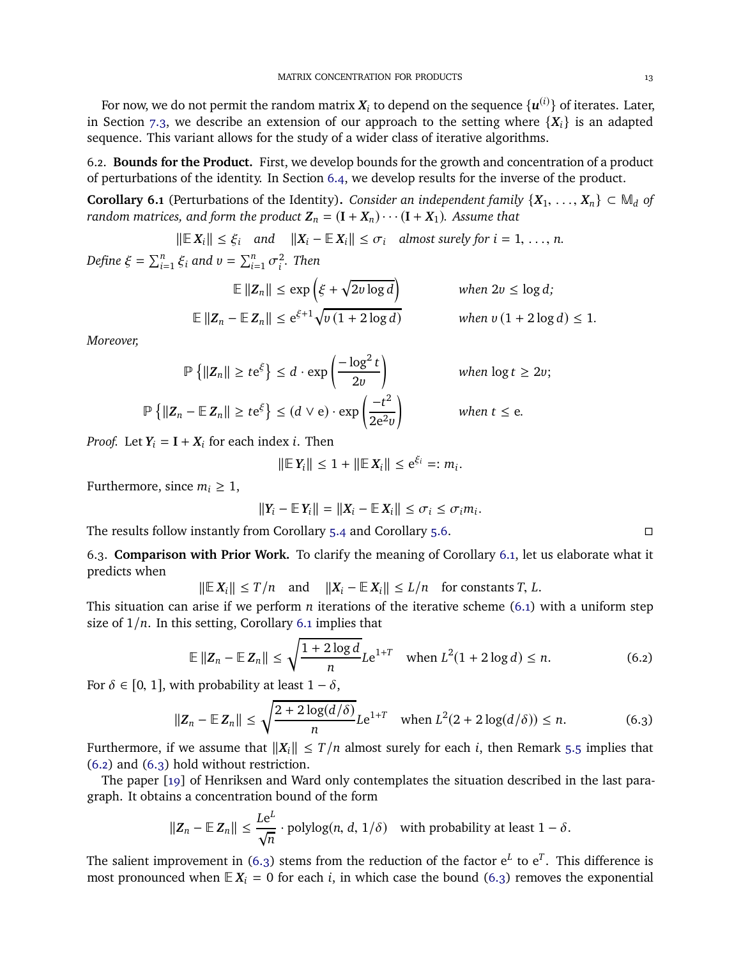For now, we do not permit the random matrix  $X_i$  to depend on the sequence  $\{u^{(i)}\}$  of iterates. Later, in Section [7.3,](#page-16-0) we describe an extension of our approach to the setting where  $\{X_i\}$  is an adapted sequence. This variant allows for the study of a wider class of iterative algorithms.

6.2. **Bounds for the Product.** First, we develop bounds for the growth and concentration of a product of perturbations of the identity. In Section [6.4,](#page-13-0) we develop results for the inverse of the product.

<span id="page-12-0"></span>**Corollary 6.1** (Perturbations of the Identity). *Consider an independent family*  $\{X_1, \ldots, X_n\} \subset M_d$  *of random matrices, and form the product*  $\mathbf{Z}_n = (\mathbf{I} + \mathbf{X}_n) \cdots (\mathbf{I} + \mathbf{X}_1)$ *. Assume that* 

$$
\|\mathbb{E} X_i\| \leq \xi_i \quad \text{and} \quad \|X_i - \mathbb{E} X_i\| \leq \sigma_i \quad \text{almost surely for } i = 1, \ldots, n.
$$

*Define*  $\xi = \sum_{i=1}^{n} \xi_i$  and  $v = \sum_{i=1}^{n} \sigma_i^2$ *i . Then*

$$
\mathbb{E} \|Z_n\| \le \exp\left(\xi + \sqrt{2v \log d}\right) \quad \text{when } 2v \le \log d;
$$
  

$$
\mathbb{E} \|Z_n - \mathbb{E} Z_n\| \le e^{\xi+1} \sqrt{v(1+2\log d)} \quad \text{when } v(1+2\log d) \le 1.
$$

*Moreover,*

$$
\mathbb{P}\left\{\|Z_n\| \ge t e^{\xi}\right\} \le d \cdot \exp\left(\frac{-\log^2 t}{2v}\right) \qquad \text{when } \log t \ge 2v;
$$
  

$$
\mathbb{P}\left\{\|Z_n - \mathbb{E}\,Z_n\| \ge t e^{\xi}\right\} \le (d \vee e) \cdot \exp\left(\frac{-t^2}{2e^2v}\right) \qquad \text{when } t \le e.
$$

*Proof.* Let  $Y_i = I + X_i$  for each index *i*. Then

$$
\|\mathbb{E} Y_i\| \leq 1 + \|\mathbb{E} X_i\| \leq e^{\xi_i} =: m_i.
$$

Furthermore, since  $m_i \geq 1$ ,

$$
||Y_i - \mathbb{E} Y_i|| = ||X_i - \mathbb{E} X_i|| \leq \sigma_i \leq \sigma_i m_i.
$$

The results follow instantly from Corollary [5.4](#page-10-0) and Corollary [5.6.](#page-10-1)

6.3. **Comparison with Prior Work.** To clarify the meaning of Corollary [6.1,](#page-12-0) let us elaborate what it predicts when

$$
\|\mathbb{E} X_i\| \leq T/n \quad \text{and} \quad \|X_i - \mathbb{E} X_i\| \leq L/n \quad \text{for constants } T, L.
$$

This situation can arise if we perform *n* iterations of the iterative scheme [\(6.1\)](#page-11-2) with a uniform step size of <sup>1</sup>/*n*. In this setting, Corollary [6.1](#page-12-0) implies that

$$
\mathbb{E} \|Z_n - \mathbb{E} Z_n\| \le \sqrt{\frac{1 + 2 \log d}{n}} L e^{1 + T} \quad \text{when } L^2(1 + 2 \log d) \le n. \tag{6.2}
$$

For  $\delta \in [0, 1]$ , with probability at least  $1 - \delta$ ,

$$
||Z_n - \mathbb{E} Z_n|| \le \sqrt{\frac{2 + 2\log(d/\delta)}{n}} L e^{1+T} \quad \text{when } L^2(2 + 2\log(d/\delta)) \le n. \tag{6.3}
$$

Furthermore, if we assume that  $||X_i|| \leq T/n$  almost surely for each *i*, then Remark [5.5](#page-10-5) implies that [\(6.2\)](#page-12-1) and [\(6.3\)](#page-12-2) hold without restriction.

The paper [\[19\]](#page-19-0) of Henriksen and Ward only contemplates the situation described in the last paragraph. It obtains a concentration bound of the form

$$
||Z_n - \mathbb{E} |Z_n|| \leq \frac{Le^L}{\sqrt{n}} \cdot \text{polylog}(n, d, 1/\delta)
$$
 with probability at least  $1 - \delta$ .

The salient improvement in [\(6.3\)](#page-12-2) stems from the reduction of the factor  $e^L$  to  $e^T$ . This difference is most pronounced when  $E X_i = 0$  for each *i*, in which case the bound [\(6.3\)](#page-12-2) removes the exponential

<span id="page-12-2"></span><span id="page-12-1"></span>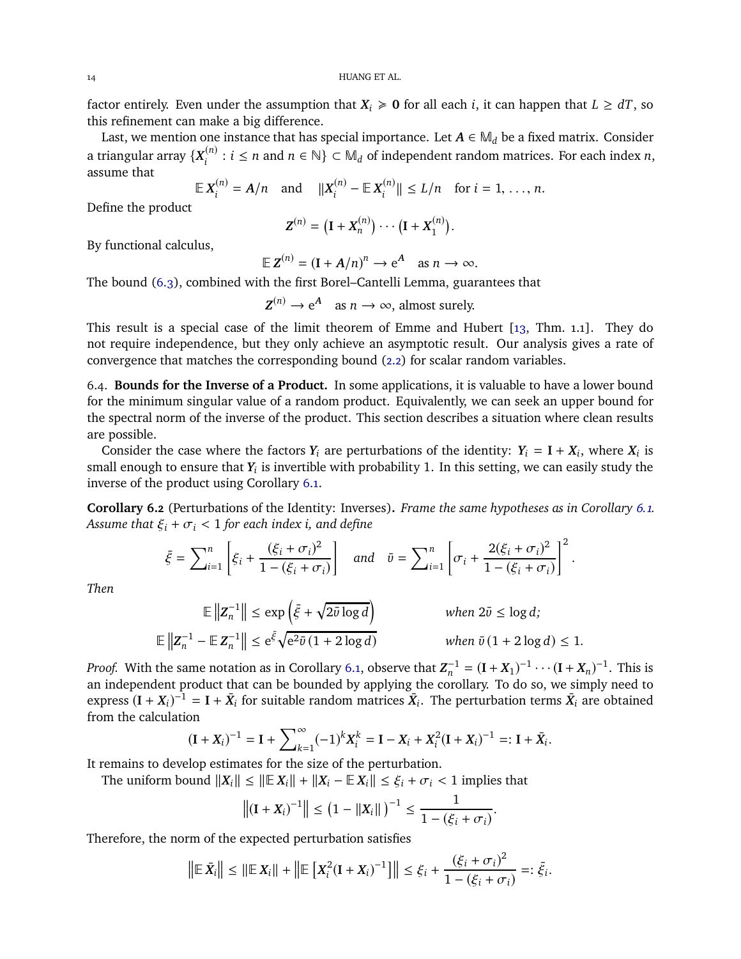factor entirely. Even under the assumption that  $X_i \ge 0$  for all each *i*, it can happen that  $L \ge dT$ , so this refinement can make a big difference.

Last, we mention one instance that has special importance. Let  $A \in M_d$  be a fixed matrix. Consider a triangular array  $\{X_i^{(n)} : i \leq n \text{ and } n \in \mathbb{N}\}\subset \mathbb{M}_d$  of independent random matrices. For each index *n*, assume that (*n*)

$$
\mathbb{E} \, X_i^{(n)} = A/n \quad \text{and} \quad ||X_i^{(n)} - \mathbb{E} \, X_i^{(n)}|| \le L/n \quad \text{for } i = 1, \ldots, n.
$$

Define the product

$$
\mathbf{Z}^{(n)} = (\mathbf{I} + \mathbf{X}_n^{(n)}) \cdots (\mathbf{I} + \mathbf{X}_1^{(n)}).
$$

By functional calculus,

$$
\mathbb{E}\,\mathbf{Z}^{(n)}=(\mathbf{I}+\mathbf{A}/n)^n\to\mathrm{e}^{\mathbf{A}}\quad\text{as }n\to\infty.
$$

The bound [\(6.3\)](#page-12-2), combined with the first Borel–Cantelli Lemma, guarantees that

$$
Z^{(n)} \to e^A \quad \text{as } n \to \infty \text{, almost surely.}
$$

This result is a special case of the limit theorem of Emme and Hubert [\[13,](#page-19-3) Thm. 1.1]. They do not require independence, but they only achieve an asymptotic result. Our analysis gives a rate of convergence that matches the corresponding bound [\(2.2\)](#page-1-4) for scalar random variables.

<span id="page-13-0"></span>6.4. **Bounds for the Inverse of a Product.** In some applications, it is valuable to have a lower bound for the minimum singular value of a random product. Equivalently, we can seek an upper bound for the spectral norm of the inverse of the product. This section describes a situation where clean results are possible.

Consider the case where the factors  $Y_i$  are perturbations of the identity:  $Y_i = I + X_i$ , where  $X_i$  is small enough to ensure that  $Y_i$  is invertible with probability 1. In this setting, we can easily study the inverse of the product using Corollary [6.1.](#page-12-0)

**Corollary 6.2** (Perturbations of the Identity: Inverses)**.** *Frame the same hypotheses as in Corollary [6.1.](#page-12-0) Assume that*  $\xi_i + \sigma_i < 1$  *for each index i, and define* 

$$
\bar{\xi} = \sum_{i=1}^{n} \left[ \xi_i + \frac{(\xi_i + \sigma_i)^2}{1 - (\xi_i + \sigma_i)} \right] \quad \text{and} \quad \bar{v} = \sum_{i=1}^{n} \left[ \sigma_i + \frac{2(\xi_i + \sigma_i)^2}{1 - (\xi_i + \sigma_i)} \right]^2.
$$

*Then*

$$
\mathbb{E}\left\|Z_n^{-1}\right\| \le \exp\left(\bar{\xi} + \sqrt{2\bar{v}\log d}\right) \qquad \text{when } 2\bar{v} \le \log d;
$$
  

$$
\mathbb{E}\left\|Z_n^{-1} - \mathbb{E}Z_n^{-1}\right\| \le e^{\bar{\xi}}\sqrt{e^{2}\bar{v}(1+2\log d)} \qquad \text{when } \bar{v}(1+2\log d) \le 1.
$$

*Proof.* With the same notation as in Corollary [6.1,](#page-12-0) observe that  $Z_n^{-1} = (\mathbf{I} + X_1)^{-1} \cdots (\mathbf{I} + X_n)^{-1}$ . This is an independent product that can be bounded by applying the corollary. To do so, we simply need to express  $(I + X_i)^{-1} = I + \bar{X}_i$  for suitable random matrices  $\bar{X}_i$ . The perturbation terms  $\bar{X}_i$  are obtained from the calculation

$$
(\mathbf{I} + \mathbf{X}_i)^{-1} = \mathbf{I} + \sum_{k=1}^{\infty} (-1)^k \mathbf{X}_i^k = \mathbf{I} - \mathbf{X}_i + \mathbf{X}_i^2 (\mathbf{I} + \mathbf{X}_i)^{-1} =: \mathbf{I} + \bar{\mathbf{X}}_i.
$$

It remains to develop estimates for the size of the perturbation.

The uniform bound  $||X_i|| \le ||E X_i|| + ||X_i - E X_i|| \le \xi_i + \sigma_i < 1$  implies that

$$
\left\|(\mathbf{I} + \mathbf{X}_i)^{-1}\right\| \leq (1 - \|\mathbf{X}_i\|)^{-1} \leq \frac{1}{1 - (\xi_i + \sigma_i)}.
$$

Therefore, the norm of the expected perturbation satisfies

$$
\left\|\mathbb{E}\,\bar{X}_i\right\| \leq \left\|\mathbb{E}\,X_i\right\| + \left\|\mathbb{E}\left[X_i^2(I+X_i)^{-1}\right]\right\| \leq \xi_i + \frac{(\xi_i + \sigma_i)^2}{1 - (\xi_i + \sigma_i)} =: \bar{\xi}_i.
$$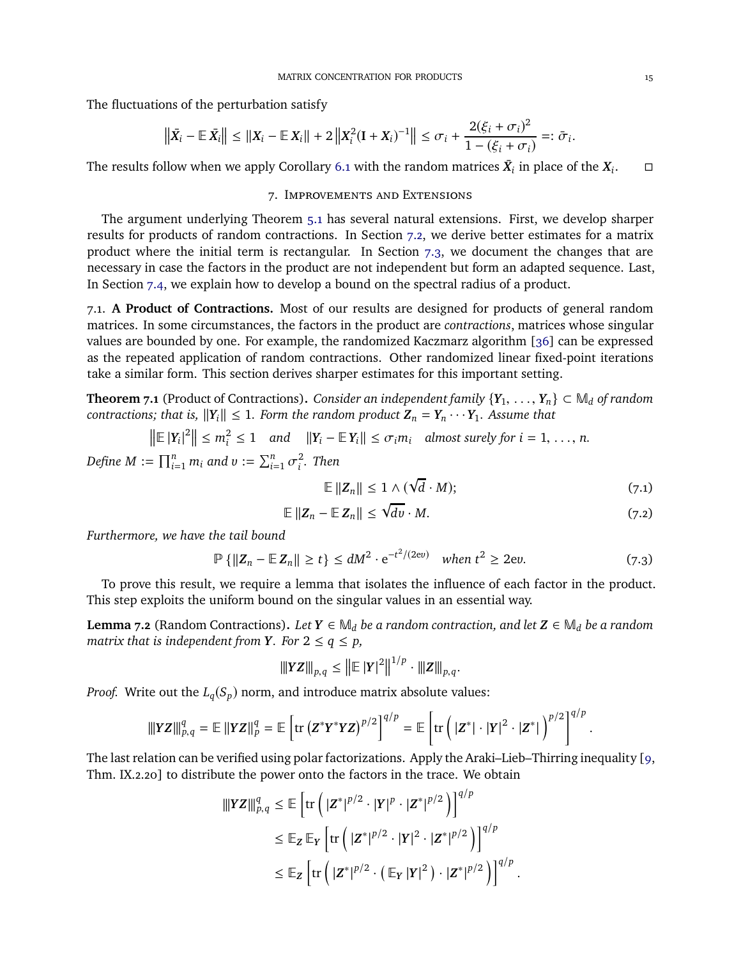The fluctuations of the perturbation satisfy

$$
\left\| \bar{X}_i - \mathbb{E} \, \bar{X}_i \right\| \leq \left\| X_i - \mathbb{E} \, X_i \right\| + 2 \left\| X_i^2 (\mathbf{I} + X_i)^{-1} \right\| \leq \sigma_i + \frac{2(\xi_i + \sigma_i)^2}{1 - (\xi_i + \sigma_i)} =: \bar{\sigma}_i.
$$

<span id="page-14-0"></span>The results follow when we apply Corollary [6.1](#page-12-0) with the random matrices  $\bar{X}_i$  in place of the  $X_i$  $\Box$ 

## 7. Improvements and Extensions

The argument underlying Theorem [5.1](#page-8-0) has several natural extensions. First, we develop sharper results for products of random contractions. In Section [7.2,](#page-15-0) we derive better estimates for a matrix product where the initial term is rectangular. In Section [7.3,](#page-16-0) we document the changes that are necessary in case the factors in the product are not independent but form an adapted sequence. Last, In Section [7.4,](#page-17-0) we explain how to develop a bound on the spectral radius of a product.

7.1. **A Product of Contractions.** Most of our results are designed for products of general random matrices. In some circumstances, the factors in the product are *contractions*, matrices whose singular values are bounded by one. For example, the randomized Kaczmarz algorithm [\[36\]](#page-20-1) can be expressed as the repeated application of random contractions. Other randomized linear fixed-point iterations take a similar form. This section derives sharper estimates for this important setting.

<span id="page-14-1"></span>**Theorem 7.1** (Product of Contractions). *Consider an independent family*  $\{Y_1, \ldots, Y_n\} \subset \mathbb{M}_d$  *of random contractions; that is,*  $||Y_i|| \leq 1$ *. Form the random product*  $Z_n = Y_n \cdots Y_1$ *. Assume that* 

$$
\left\|\mathbb{E}\left|Y_i\right|^2\right\| \leq m_i^2 \leq 1 \quad \text{and} \quad \left\|Y_i - \mathbb{E}\left|Y_i\right|\right\| \leq \sigma_i m_i \quad \text{almost surely for } i = 1, \ldots, n.
$$

*Define*  $M := \prod_{i=1}^n m_i$  and  $v := \sum_{i=1}^n \sigma_i^2$ *i . Then*

<span id="page-14-5"></span><span id="page-14-4"></span><span id="page-14-2"></span>
$$
\mathbb{E} \left\| Z_n \right\| \leq 1 \wedge (\sqrt{d} \cdot M); \tag{7.1}
$$

$$
\mathbb{E} \|Z_n - \mathbb{E} Z_n\| \le \sqrt{dv} \cdot M. \tag{7.2}
$$

*Furthermore, we have the tail bound*

$$
\mathbb{P}\left\{\|Z_n - \mathbb{E}\,Z_n\|\geq t\right\} \leq dM^2 \cdot \mathrm{e}^{-t^2/(2\mathrm{e}v)} \quad \text{when } t^2 \geq 2\mathrm{e}v. \tag{7.3}
$$

To prove this result, we require a lemma that isolates the influence of each factor in the product. This step exploits the uniform bound on the singular values in an essential way.

<span id="page-14-3"></span>**Lemma 7.2** (Random Contractions). *Let*  $Y \in M_d$  *be a random contraction, and let*  $Z \in M_d$  *be a random matrix that is independent from Y. For*  $2 \le q \le p$ *,* 

$$
\| YZ \|_{p,q} \leq \left\| {\mathbb E \,} |Y|^2 \right\|^{1/p} \cdot \|Z\|_{p,q}.
$$

*Proof.* Write out the  $L_q(S_p)$  norm, and introduce matrix absolute values:

$$
\|YZ\|_{p,q}^q = \mathbb{E} \|YZ\|_p^q = \mathbb{E} \left[ \text{tr} (Z^*Y^*YZ)^{p/2} \right]^{q/p} = \mathbb{E} \left[ \text{tr} \left( |Z^*| \cdot |Y|^2 \cdot |Z^*| \right)^{p/2} \right]^{q/p}.
$$

The last relation can be verified using polar factorizations. Apply the Araki–Lieb–Thirring inequality [\[9,](#page-19-23) Thm. IX.2.20] to distribute the power onto the factors in the trace. We obtain

$$
\begin{split} \|\|YZ\|\|_{p,q}^q &\leq \mathbb{E}\left[\mathrm{tr}\left(|Z^*|^{p/2}\cdot|Y|^p\cdot|Z^*|^{p/2}\right)\right]^{q/p} \\ &\leq \mathbb{E}_Z\,\mathbb{E}_Y\left[\mathrm{tr}\left(|Z^*|^{p/2}\cdot|Y|^2\cdot|Z^*|^{p/2}\right)\right]^{q/p} \\ &\leq \mathbb{E}_Z\left[\mathrm{tr}\left(|Z^*|^{p/2}\cdot\left(\mathbb{E}_Y\,|Y|^2\right)\cdot|Z^*|^{p/2}\right)\right]^{q/p} \, . \end{split}
$$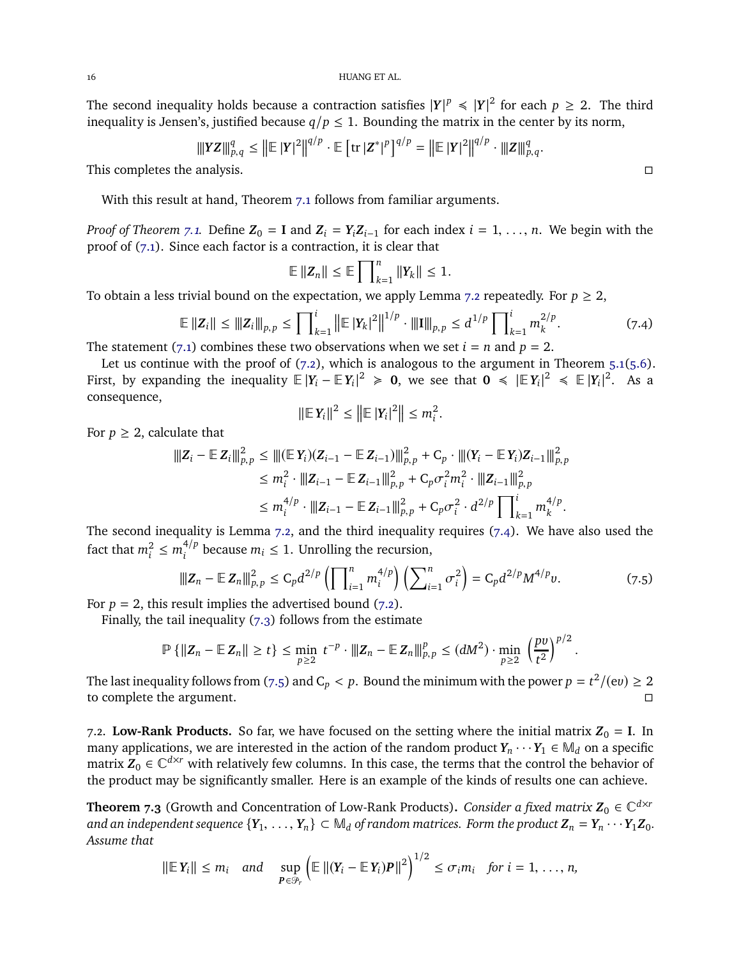16 HUANG ET AL.

The second inequality holds because a contraction satisfies  $|Y|^p \le |Y|^2$  for each  $p \ge 2$ . The third inequality is Jensen's, justified because  $q/p \leq 1$ . Bounding the matrix in the center by its norm,

$$
\| |YZ||_{p,q}^q \leq \left\| \mathbb{E} |Y|^2 \right\|^{q/p} \cdot \mathbb{E} \left[ \mathrm{tr} |Z^*|^p \right]^{q/p} = \left\| \mathbb{E} |Y|^2 \right\|^{q/p} \cdot \| |Z||_{p,q}^q.
$$

This completes the analysis.

With this result at hand, Theorem [7.1](#page-14-1) follows from familiar arguments.

*Proof of Theorem [7.1.](#page-14-1)* Define  $\mathbf{Z}_0 = \mathbf{I}$  and  $\mathbf{Z}_i = Y_i \mathbf{Z}_{i-1}$  for each index  $i = 1, \ldots, n$ . We begin with the proof of [\(7.1\)](#page-14-2). Since each factor is a contraction, it is clear that

$$
\mathbb{E} \left\| \mathbf{Z}_n \right\| \leq \mathbb{E} \left\| \int_{k=1}^n \left\| Y_k \right\| \leq 1.
$$

To obtain a less trivial bound on the expectation, we apply Lemma [7.2](#page-14-3) repeatedly. For  $p \geq 2$ ,

$$
\mathbb{E} \|Z_i\| \le \|Z_i\|_{p,p} \le \prod_{k=1}^i \left\| \mathbb{E} |Y_k|^2 \right\|^{1/p} \cdot \|\mathbf{I}\|_{p,p} \le d^{1/p} \prod_{k=1}^i m_k^{2/p}.
$$
 (7.4)

.

The statement [\(7.1\)](#page-14-2) combines these two observations when we set  $i = n$  and  $p = 2$ .

Let us continue with the proof of  $(7.2)$ , which is analogous to the argument in Theorem  $5.1(5.6)$  $5.1(5.6)$ . First, by expanding the inequality  $\mathbb{E}|Y_i - \mathbb{E}|Y_i|^2 \ge 0$ , we see that  $0 \le |\mathbb{E}|Y_i|^2 \le \mathbb{E}|Y_i|^2$ . As a consequence,

$$
\|\mathbb{E}\,Y_i\|^2 \le \left\|\mathbb{E}\,|Y_i|^2\right\| \le m_i^2
$$

For  $p \geq 2$ , calculate that

$$
\begin{split} \|\mathbf{Z}_{i} - \mathbb{E} \mathbf{Z}_{i} \|_{p,p}^{2} &\leq \|\|(\mathbb{E} \mathbf{Y}_{i})(\mathbf{Z}_{i-1} - \mathbb{E} \mathbf{Z}_{i-1}) \|_{p,p}^{2} + C_{p} \cdot \| |(\mathbf{Y}_{i} - \mathbb{E} \mathbf{Y}_{i}) \mathbf{Z}_{i-1} \|_{p,p}^{2} \\ &\leq m_{i}^{2} \cdot \| \mathbf{Z}_{i-1} - \mathbb{E} \mathbf{Z}_{i-1} \|_{p,p}^{2} + C_{p} \sigma_{i}^{2} m_{i}^{2} \cdot \| \mathbf{Z}_{i-1} \|_{p,p}^{2} \\ &\leq m_{i}^{4/p} \cdot \| \mathbf{Z}_{i-1} - \mathbb{E} \mathbf{Z}_{i-1} \|_{p,p}^{2} + C_{p} \sigma_{i}^{2} \cdot d^{2/p} \prod_{k=1}^{i} m_{k}^{4/p} .\end{split}
$$

The second inequality is Lemma [7.2,](#page-14-3) and the third inequality requires [\(7.4\)](#page-15-1). We have also used the fact that  $m_i^2 \le m_i^{4/p}$  because  $m_i \le 1$ . Unrolling the recursion,

$$
\|Z_n - \mathbb{E} Z_n\|_{p,p}^2 \leq C_p d^{2/p} \left( \prod_{i=1}^n m_i^{4/p} \right) \left( \sum_{i=1}^n \sigma_i^2 \right) = C_p d^{2/p} M^{4/p} v. \tag{7.5}
$$

For  $p = 2$ , this result implies the advertised bound  $(7.2)$ .

Finally, the tail inequality  $(7.3)$  follows from the estimate

$$
\mathbb{P}\left\{\|Z_n - \mathbb{E}\,Z_n\| \ge t\right\} \le \min_{p\ge 2} t^{-p} \cdot \|Z_n - \mathbb{E}\,Z_n\|_{p,p}^p \le (dM^2) \cdot \min_{p\ge 2} \left(\frac{pv}{t^2}\right)^{p/2}
$$

The last inequality follows from [\(7.5\)](#page-15-2) and C<sub>*p*</sub> < *p*. Bound the minimum with the power  $p = t^2/(ev) \ge 2$ to complete the argument.

<span id="page-15-0"></span>7.2. Low-Rank Products. So far, we have focused on the setting where the initial matrix  $Z_0 = I$ . In many applications, we are interested in the action of the random product  $Y_n \cdots Y_1 \in M_d$  on a specific matrix  $Z_0 \in \mathbb{C}^{d \times r}$  with relatively few columns. In this case, the terms that the control the behavior of the product may be significantly smaller. Here is an example of the kinds of results one can achieve.

<span id="page-15-3"></span>**Theorem 7.3** (Growth and Concentration of Low-Rank Products). *Consider a fixed matrix*  $\mathbf{Z}_0 \in \mathbb{C}^{d \times r}$ *and an independent sequence*  ${Y_1, \ldots, Y_n} \subset M_d$  *of random matrices. Form the product*  $Z_n = Y_n \cdots Y_1 Z_0$ *. Assume that*

$$
\|\mathbb{E} \, Y_i\| \leq m_i \quad \text{and} \quad \sup_{\boldsymbol{P} \in \mathcal{P}_r} \left( \mathbb{E} \left\| (Y_i - \mathbb{E} \, Y_i) \boldsymbol{P} \right\|^2 \right)^{1/2} \leq \sigma_i m_i \quad \text{for } i = 1, \ldots, n,
$$

<span id="page-15-1"></span>

<span id="page-15-2"></span>.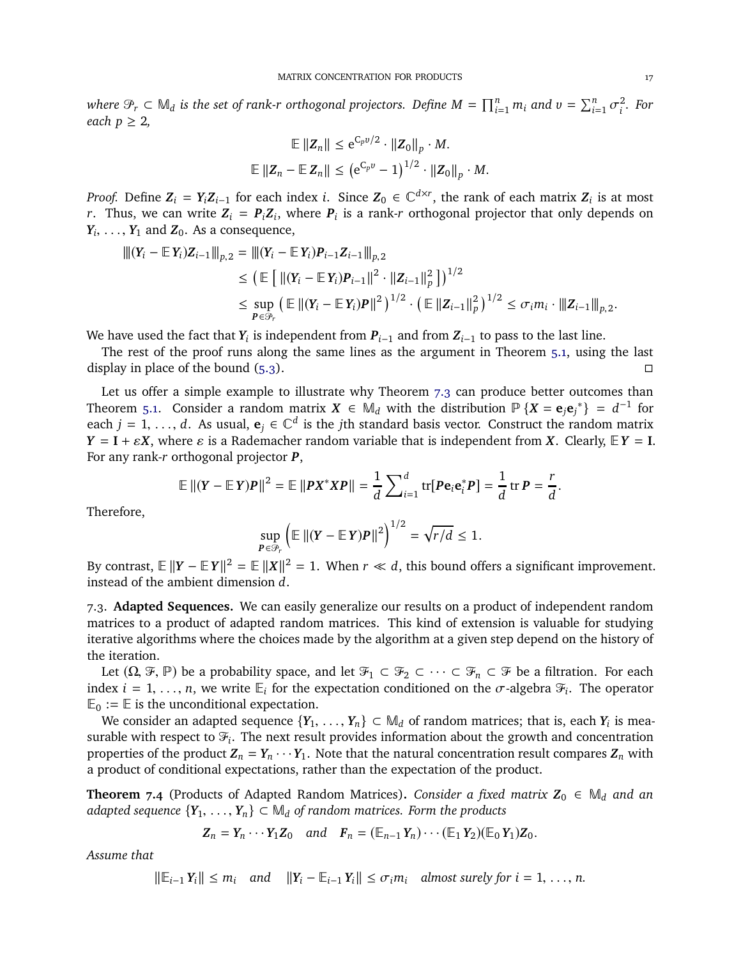*where*  $\mathcal{P}_r \subset \mathbb{M}_d$  *is the set of rank-r orthogonal projectors. Define*  $M = \prod_{i=1}^n m_i$  *and*  $v = \sum_{i=1}^n \sigma_i^2$ *i . For each*  $p \geq 2$ ,

$$
\mathbb{E} \left\| \mathbf{Z}_n \right\| \leq e^{C_p v/2} \cdot \left\| \mathbf{Z}_0 \right\|_p \cdot M.
$$
  

$$
\mathbb{E} \left\| \mathbf{Z}_n - \mathbb{E} \mathbf{Z}_n \right\| \leq \left( e^{C_p v} - 1 \right)^{1/2} \cdot \left\| \mathbf{Z}_0 \right\|_p \cdot M.
$$

*Proof.* Define  $Z_i = Y_i Z_{i-1}$  for each index *i*. Since  $Z_0 \in \mathbb{C}^{d \times r}$ , the rank of each matrix  $Z_i$  is at most *r*. Thus, we can write  $Z_i = P_i Z_i$ , where  $P_i$  is a rank-*r* orthogonal projector that only depends on  $Y_i, \ldots, Y_1$  and  $Z_0$ . As a consequence,

$$
\begin{aligned}\n\| (\mathbf{Y}_i - \mathbb{E} \mathbf{Y}_i) \mathbf{Z}_{i-1} \|_{p,2} &= \| (\mathbf{Y}_i - \mathbb{E} \mathbf{Y}_i) \mathbf{P}_{i-1} \mathbf{Z}_{i-1} \|_{p,2} \\
&\leq \left( \mathbb{E} \left[ \| (\mathbf{Y}_i - \mathbb{E} \mathbf{Y}_i) \mathbf{P}_{i-1} \|^2 \cdot \| \mathbf{Z}_{i-1} \|_p^2 \right] \right)^{1/2} \\
&\leq \sup_{\mathbf{P} \in \mathcal{P}_r} \left( \mathbb{E} \left[ \| (\mathbf{Y}_i - \mathbb{E} \mathbf{Y}_i) \mathbf{P} \|^2 \right)^{1/2} \cdot \left( \mathbb{E} \left[ \|\mathbf{Z}_{i-1}\|_p^2 \right] \right)^{1/2} \leq \sigma_i m_i \cdot \| \|\mathbf{Z}_{i-1} \|_{p,2}\n\end{aligned}
$$

We have used the fact that  $Y_i$  is independent from  $P_{i-1}$  and from  $Z_{i-1}$  to pass to the last line.

The rest of the proof runs along the same lines as the argument in Theorem [5.1,](#page-8-0) using the last display in place of the bound  $(5.3)$ .

Let us offer a simple example to illustrate why Theorem [7.3](#page-15-3) can produce better outcomes than Theorem [5.1.](#page-8-0) Consider a random matrix  $X \in M_d$  with the distribution  $\mathbb{P}\{X = e_j e_j^*\} = d^{-1}$  for each *j* = 1, ..., *d*. As usual,  $\mathbf{e}_j \in \mathbb{C}^d$  is the *j*th standard basis vector. Construct the random matrix  $Y = I + \varepsilon X$ , where  $\varepsilon$  is a Rademacher random variable that is independent from *X*. Clearly,  $E Y = I$ . For any rank-*r* orthogonal projector *P*,

$$
\mathbb{E} ||(Y - \mathbb{E} Y)P||^2 = \mathbb{E} ||PX^*XP|| = \frac{1}{d} \sum_{i=1}^d tr[Pe_i e_i^*P] = \frac{1}{d} tr P = \frac{r}{d}.
$$

Therefore,

$$
\sup_{\mathbf{P}\in\mathcal{P}_r}\left(\mathbb{E}\left\|(Y-\mathbb{E}\,Y)\mathbf{P}\right\|^2\right)^{1/2}=\sqrt{r/d}\leq 1.
$$

By contrast,  $\mathbb{E} ||Y - \mathbb{E}Y||^2 = \mathbb{E} ||X||^2 = 1$ . When  $r \ll d$ , this bound offers a significant improvement. instead of the ambient dimension *d*.

<span id="page-16-0"></span>7.3. **Adapted Sequences.** We can easily generalize our results on a product of independent random matrices to a product of adapted random matrices. This kind of extension is valuable for studying iterative algorithms where the choices made by the algorithm at a given step depend on the history of the iteration.

Let  $(\Omega, \mathcal{F}, \mathbb{P})$  be a probability space, and let  $\mathcal{F}_1 \subset \mathcal{F}_2 \subset \cdots \subset \mathcal{F}_n \subset \mathcal{F}$  be a filtration. For each index  $i = 1, \ldots, n$ , we write  $\mathbb{E}_i$  for the expectation conditioned on the  $\sigma$ -algebra  $\mathcal{F}_i$ . The operator  $\mathbb{E}_0 := \mathbb{E}$  is the unconditional expectation.

We consider an adapted sequence  $\{Y_1, \ldots, Y_n\} \subset M_d$  of random matrices; that is, each  $Y_i$  is measurable with respect to  $\mathcal{F}_i$ . The next result provides information about the growth and concentration properties of the product  $Z_n = Y_n \cdots Y_1$ . Note that the natural concentration result compares  $Z_n$  with a product of conditional expectations, rather than the expectation of the product.

**Theorem** 7.4 (Products of Adapted Random Matrices). *Consider a fixed matrix*  $Z_0 \in M_d$  *and an adapted sequence*  ${Y_1, \ldots, Y_n} \subset M_d$  *of random matrices. Form the products* 

$$
\mathbf{Z}_n = \mathbf{Y}_n \cdots \mathbf{Y}_1 \mathbf{Z}_0 \quad and \quad \mathbf{F}_n = (\mathbb{E}_{n-1} \mathbf{Y}_n) \cdots (\mathbb{E}_1 \mathbf{Y}_2) (\mathbb{E}_0 \mathbf{Y}_1) \mathbf{Z}_0.
$$

*Assume that*

 $\|\mathbb{E}_{i-1} Y_i\|$  ≤  $m_i$  *and*  $\|Y_i - \mathbb{E}_{i-1} Y_i\|$  ≤  $\sigma_i m_i$  *almost surely for*  $i = 1, ..., n$ *.* 

.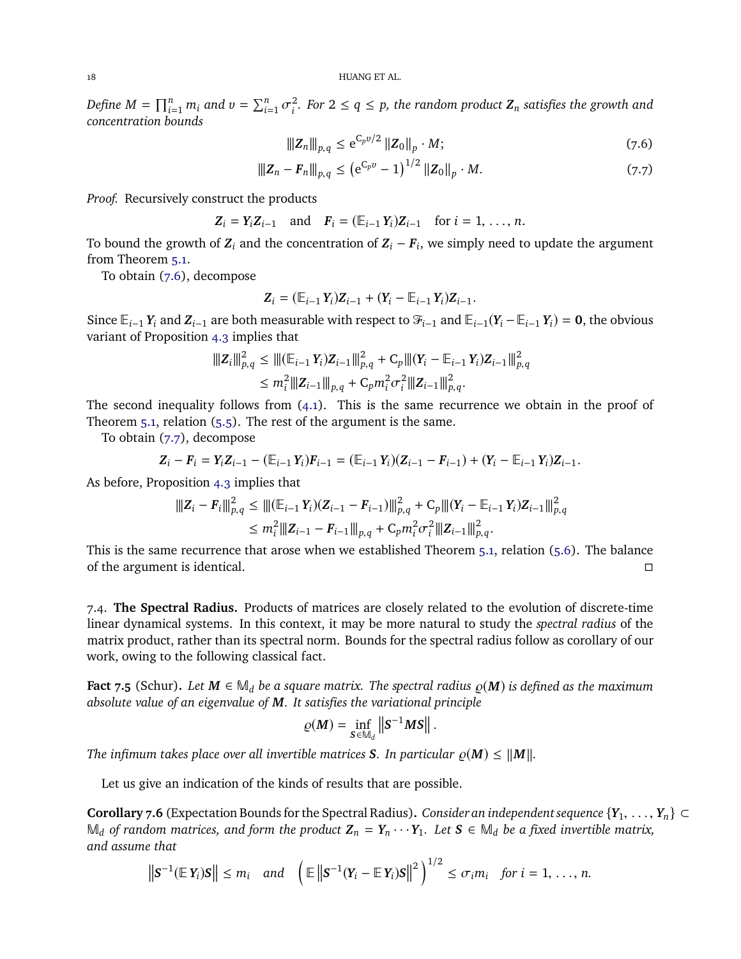*Define*  $M = \prod_{i=1}^{n} m_i$  *and*  $v = \sum_{i=1}^{n} \sigma_i^2$ *i . For* <sup>2</sup> <sup>≤</sup> *<sup>q</sup>* <sup>≤</sup> *<sup>p</sup>, the random product <sup>Z</sup><sup>n</sup> satisfies the growth and concentration bounds*

<span id="page-17-2"></span><span id="page-17-1"></span>
$$
\|Z_n\|_{p,q} \le e^{C_p v/2} \|Z_0\|_p \cdot M; \tag{7.6}
$$

$$
\|Z_n - F_n\|_{p,q} \le (e^{C_p v} - 1)^{1/2} \|Z_0\|_p \cdot M. \tag{7.7}
$$

*Proof.* Recursively construct the products

$$
Z_i = Y_i Z_{i-1}
$$
 and  $F_i = (\mathbb{E}_{i-1} Y_i) Z_{i-1}$  for  $i = 1, ..., n$ .

To bound the growth of  $Z_i$  and the concentration of  $Z_i - F_i$ , we simply need to update the argument from Theorem [5.1.](#page-8-0)

To obtain [\(7.6\)](#page-17-1), decompose

$$
Z_i = (\mathbb{E}_{i-1} Y_i) Z_{i-1} + (Y_i - \mathbb{E}_{i-1} Y_i) Z_{i-1}.
$$

Since  $\mathbb{E}_{i-1} Y_i$  and  $Z_{i-1}$  are both measurable with respect to  $\mathcal{F}_{i-1}$  and  $\mathbb{E}_{i-1}(Y_i - \mathbb{E}_{i-1} Y_i) = \mathbf{0}$ , the obvious variant of Proposition [4.3](#page-6-0) implies that

$$
\begin{aligned} |||Z_i||_{p,q}^2 &\leq |||(\mathbb{E}_{i-1}Y_i)Z_{i-1}||_{p,q}^2 + C_p |||(Y_i - \mathbb{E}_{i-1}Y_i)Z_{i-1}||_{p,q}^2\\ &\leq m_i^2 |||Z_{i-1}||_{p,q} + C_p m_i^2 \sigma_i^2 |||Z_{i-1}||_{p,q}^2. \end{aligned}
$$

The second inequality follows from  $(4.1)$ . This is the same recurrence we obtain in the proof of Theorem [5.1,](#page-8-0) relation [\(5.5\)](#page-8-2). The rest of the argument is the same.

To obtain [\(7.7\)](#page-17-2), decompose

$$
Z_i - F_i = Y_i Z_{i-1} - (\mathbb{E}_{i-1} Y_i) F_{i-1} = (\mathbb{E}_{i-1} Y_i) (Z_{i-1} - F_{i-1}) + (Y_i - \mathbb{E}_{i-1} Y_i) Z_{i-1}.
$$

As before, Proposition [4.3](#page-6-0) implies that

$$
\|Z_i - F_i\|_{p,q}^2 \le \|(\mathbb{E}_{i-1} Y_i)(Z_{i-1} - F_{i-1})\|_{p,q}^2 + C_p \| (Y_i - \mathbb{E}_{i-1} Y_i)Z_{i-1}\|_{p,q}^2
$$
  

$$
\le m_i^2 \|Z_{i-1} - F_{i-1}\|_{p,q} + C_p m_i^2 \sigma_i^2 \|Z_{i-1}\|_{p,q}^2.
$$

This is the same recurrence that arose when we established Theorem [5.1,](#page-8-0) relation [\(5.6\)](#page-8-4). The balance of the argument is identical.

<span id="page-17-0"></span>7.4. **The Spectral Radius.** Products of matrices are closely related to the evolution of discrete-time linear dynamical systems. In this context, it may be more natural to study the *spectral radius* of the matrix product, rather than its spectral norm. Bounds for the spectral radius follow as corollary of our work, owing to the following classical fact.

<span id="page-17-3"></span>**Fact 7.5** (Schur). Let  $M \in \mathbb{M}_d$  be a square matrix. The spectral radius  $\rho(M)$  is defined as the maximum *absolute value of an eigenvalue of M. It satisfies the variational principle*

$$
\varrho(M) = \inf_{S \in \mathbb{M}_d} \left\| S^{-1}MS \right\|.
$$

*The infimum takes place over all invertible matrices S. In particular*  $\varrho(M) \leq ||M||$ *.* 

Let us give an indication of the kinds of results that are possible.

**Corollary 7.6** (Expectation Bounds for the Spectral Radius). *Consider an independent sequence*  $\{Y_1, \ldots, Y_n\} \subset$  $\mathbb{M}_d$  *of random matrices, and form the product*  $\mathbb{Z}_n = Y_n \cdots Y_1$ *. Let* **S** ∈  $\mathbb{M}_d$  *be a fixed invertible matrix, and assume that*

$$
\left\|\mathbf{S}^{-1}(\mathbb{E}\,\mathbf{Y}_i)\mathbf{S}\right\| \leq m_i \quad \text{and} \quad \left(\mathbb{E}\left\|\mathbf{S}^{-1}(\mathbf{Y}_i-\mathbb{E}\,\mathbf{Y}_i)\mathbf{S}\right\|^2\right)^{1/2} \leq \sigma_i m_i \quad \text{for } i=1,\ldots,n.
$$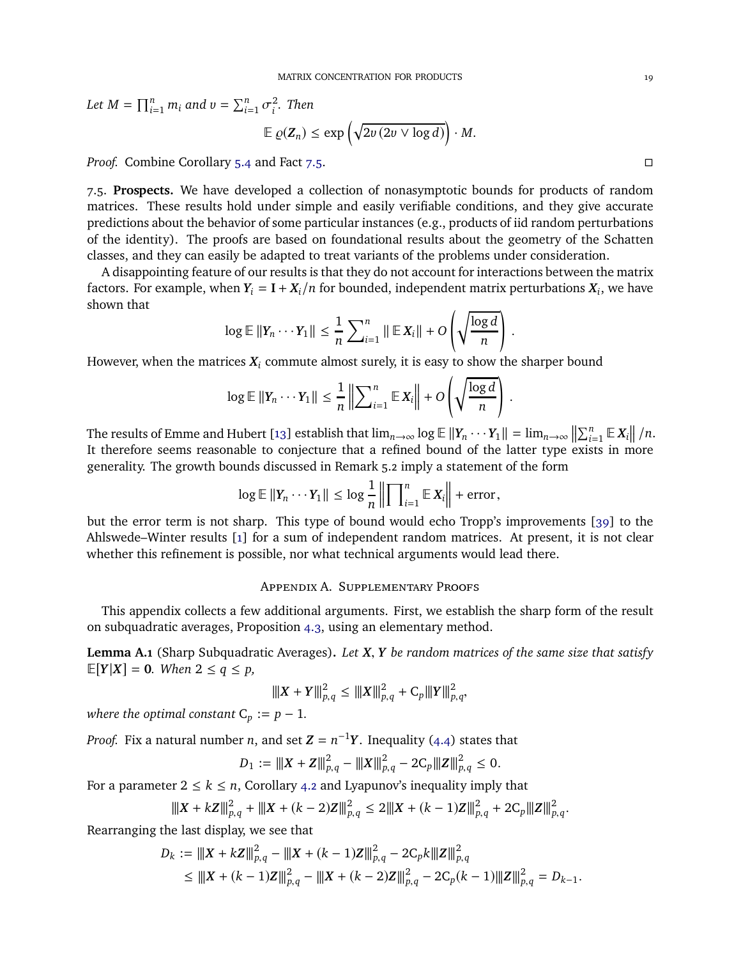*Let*  $M = \prod_{i=1}^{n} m_i$  *and*  $v = \sum_{i=1}^{n} \sigma_i^2$ *i . Then*  $\mathbb{E} \varrho(\mathbf{Z}_n) \leq \exp \left( \sqrt{2v(2v \vee \log d)} \right) \cdot M.$ 

*Proof.* Combine Corollary [5.4](#page-10-0) and Fact [7.5.](#page-17-3)

7.5. **Prospects.** We have developed a collection of nonasymptotic bounds for products of random matrices. These results hold under simple and easily verifiable conditions, and they give accurate predictions about the behavior of some particular instances (e.g., products of iid random perturbations of the identity). The proofs are based on foundational results about the geometry of the Schatten classes, and they can easily be adapted to treat variants of the problems under consideration.

A disappointing feature of our results is that they do not account for interactions between the matrix factors. For example, when  $Y_i = I + X_i/n$  for bounded, independent matrix perturbations  $X_i$ , we have shown that

$$
\log \mathbb{E} \|Y_n \cdots Y_1\| \leq \frac{1}{n} \sum_{i=1}^n \| \mathbb{E} X_i \| + O\left(\sqrt{\frac{\log d}{n}}\right).
$$

However, when the matrices  $X_i$  commute almost surely, it is easy to show the sharper bound

$$
\log \mathbb{E} \|Y_n \cdots Y_1\| \leq \frac{1}{n} \left\| \sum_{i=1}^n \mathbb{E} \, X_i \right\| + O\left(\sqrt{\frac{\log d}{n}}\right)
$$

.

The results of Emme and Hubert [\[13\]](#page-19-3) establish that  $\lim_{n\to\infty} \log \mathbb{E} ||Y_n \cdots Y_1|| = \lim_{n\to\infty} \left\| \sum_{i=1}^n \mathbb{E} |X_i| \right\| / n$ . It therefore seems reasonable to conjecture that a refined bound of the latter type exists in more generality. The growth bounds discussed in Remark 5.2 imply a statement of the form

$$
\log \mathbb{E} \|Y_n \cdots Y_1\| \leq \log \frac{1}{n} \left\| \prod_{i=1}^n \mathbb{E} X_i \right\| + \text{error},
$$

but the error term is not sharp. This type of bound would echo Tropp's improvements [\[39\]](#page-20-4) to the Ahlswede–Winter results [\[1\]](#page-19-1) for a sum of independent random matrices. At present, it is not clear whether this refinement is possible, nor what technical arguments would lead there.

# Appendix A. Supplementary Proofs

This appendix collects a few additional arguments. First, we establish the sharp form of the result on subquadratic averages, Proposition [4.3,](#page-6-0) using an elementary method.

<span id="page-18-0"></span>**Lemma A.1** (Sharp Subquadratic Averages)**.** *Let X*, *Y be random matrices of the same size that satisfy*  $\mathbb{E}[Y|X] = 0$ *. When*  $2 \le q \le p$ *,* 

$$
\|X+Y\|_{p,q}^2 \le \|X\|_{p,q}^2 + C_p \|Y\|_{p,q}^2,
$$

*where the optimal constant*  $C_p := p - 1$ *.* 

*Proof.* Fix a natural number *n*, and set  $Z = n^{-1}Y$ . Inequality [\(4.4\)](#page-6-2) states that

$$
D_1 := ||X + Z||_{p,q}^2 - ||X||_{p,q}^2 - 2C_p ||Z||_{p,q}^2 \leq 0.
$$

For a parameter  $2 \leq k \leq n$ , Corollary [4.2](#page-5-2) and Lyapunov's inequality imply that

$$
\|X + kZ\|_{p,q}^2 + \|X + (k-2)Z\|_{p,q}^2 \le 2\|X + (k-1)Z\|_{p,q}^2 + 2C_p\|Z\|_{p,q}^2.
$$

Rearranging the last display, we see that

$$
D_k := ||X + kZ||_{p,q}^2 - ||X + (k-1)Z||_{p,q}^2 - 2C_p k||Z||_{p,q}^2
$$
  
\n
$$
\le ||X + (k-1)Z||_{p,q}^2 - ||X + (k-2)Z||_{p,q}^2 - 2C_p(k-1)||Z||_{p,q}^2 = D_{k-1}.
$$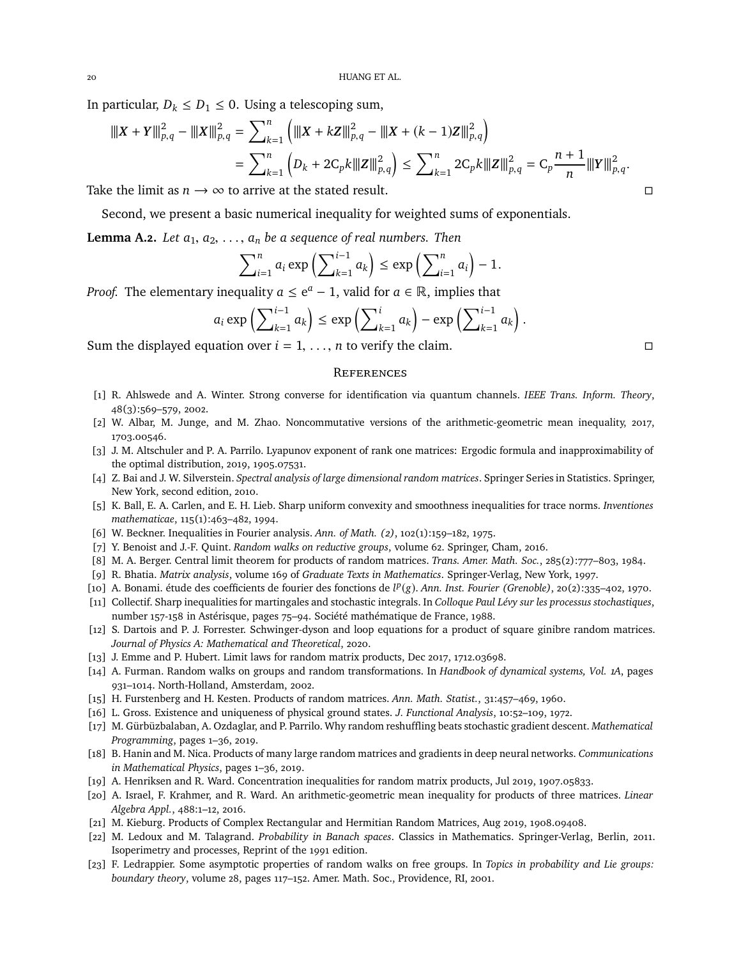In particular,  $D_k \leq D_1 \leq 0$ . Using a telescoping sum,

$$
\begin{aligned} \|\|X+Y\|^2_{p,q} - \|\|X\|^2_{p,q} &= \sum_{k=1}^n \left( \|X+kZ\|^2_{p,q} - \|X+(k-1)Z\|^2_{p,q} \right) \\ &= \sum_{k=1}^n \left( D_k + 2C_p k \|Z\|^2_{p,q} \right) \le \sum_{k=1}^n 2C_p k \|Z\|^2_{p,q} = C_p \frac{n+1}{n} \|Y\|^2_{p,q}. \end{aligned}
$$

Take the limit as  $n \to \infty$  to arrive at the stated result.

Second, we present a basic numerical inequality for weighted sums of exponentials.

<span id="page-19-22"></span>**Lemma A.2.** *Let*  $a_1, a_2, \ldots, a_n$  *be a sequence of real numbers. Then* 

$$
\sum_{i=1}^n a_i \exp\left(\sum_{k=1}^{i-1} a_k\right) \le \exp\left(\sum_{i=1}^n a_i\right) - 1.
$$

*Proof.* The elementary inequality  $a \le e^a - 1$ , valid for  $a \in \mathbb{R}$ , implies that

$$
a_i \exp\left(\sum\nolimits_{k=1}^{i-1} a_k\right) \le \exp\left(\sum\nolimits_{k=1}^{i} a_k\right) - \exp\left(\sum\nolimits_{k=1}^{i-1} a_k\right).
$$

Sum the displayed equation over  $i = 1, \ldots, n$  to verify the claim.

### **REFERENCES**

- <span id="page-19-1"></span>[1] R. Ahlswede and A. Winter. Strong converse for identification via quantum channels. *IEEE Trans. Inform. Theory*, 48(3):569–579, 2002.
- <span id="page-19-9"></span><span id="page-19-5"></span>[2] W. Albar, M. Junge, and M. Zhao. Noncommutative versions of the arithmetic-geometric mean inequality, 2017, 1703.00546.
- [3] J. M. Altschuler and P. A. Parrilo. Lyapunov exponent of rank one matrices: Ergodic formula and inapproximability of the optimal distribution, 2019, 1905.07531.
- <span id="page-19-13"></span>[4] Z. Bai and J. W. Silverstein. *Spectral analysis of large dimensional random matrices*. Springer Series in Statistics. Springer, New York, second edition, 2010.
- <span id="page-19-19"></span><span id="page-19-16"></span>[5] K. Ball, E. A. Carlen, and E. H. Lieb. Sharp uniform convexity and smoothness inequalities for trace norms. *Inventiones mathematicae*, 115(1):463–482, 1994.
- <span id="page-19-12"></span>[6] W. Beckner. Inequalities in Fourier analysis. *Ann. of Math. (2)*, 102(1):159–182, 1975.
- <span id="page-19-2"></span>[7] Y. Benoist and J.-F. Quint. *Random walks on reductive groups*, volume 62. Springer, Cham, 2016.
- <span id="page-19-23"></span>[8] M. A. Berger. Central limit theorem for products of random matrices. *Trans. Amer. Math. Soc.*, 285(2):777–803, 1984.
- <span id="page-19-18"></span>[9] R. Bhatia. *Matrix analysis*, volume 169 of *Graduate Texts in Mathematics*. Springer-Verlag, New York, 1997.
- <span id="page-19-21"></span>[10] A. Bonami. étude des coefficients de fourier des fonctions de *l<sup>p</sup>*(*g*). *Ann. Inst. Fourier (Grenoble)*, 20(2):335-402, 1970.
- [11] Collectif. Sharp inequalities for martingales and stochastic integrals. In *Colloque Paul Lévy sur les processus stochastiques*, number 157-158 in Astérisque, pages 75–94. Société mathématique de France, 1988.
- <span id="page-19-15"></span>[12] S. Dartois and P. J. Forrester. Schwinger-dyson and loop equations for a product of square ginibre random matrices. *Journal of Physics A: Mathematical and Theoretical*, 2020.
- <span id="page-19-11"></span><span id="page-19-3"></span>[13] J. Emme and P. Hubert. Limit laws for random matrix products, Dec 2017, 1712.03698.
- [14] A. Furman. Random walks on groups and random transformations. In *Handbook of dynamical systems, Vol. 1A*, pages 931–1014. North-Holland, Amsterdam, 2002.
- <span id="page-19-17"></span><span id="page-19-8"></span>[15] H. Furstenberg and H. Kesten. Products of random matrices. *Ann. Math. Statist.*, 31:457–469, 1960.
- <span id="page-19-6"></span>[16] L. Gross. Existence and uniqueness of physical ground states. *J. Functional Analysis*, 10:52–109, 1972.
- [17] M. Gürbüzbalaban, A. Ozdaglar, and P. Parrilo. Why random reshuffling beats stochastic gradient descent. *Mathematical Programming*, pages 1–36, 2019.
- <span id="page-19-7"></span>[18] B. Hanin and M. Nica. Products of many large random matrices and gradients in deep neural networks. *Communications in Mathematical Physics*, pages 1–36, 2019.
- <span id="page-19-4"></span><span id="page-19-0"></span>[19] A. Henriksen and R. Ward. Concentration inequalities for random matrix products, Jul 2019, 1907.05833.
- [20] A. Israel, F. Krahmer, and R. Ward. An arithmetic-geometric mean inequality for products of three matrices. *Linear Algebra Appl.*, 488:1–12, 2016.
- <span id="page-19-20"></span><span id="page-19-14"></span>[21] M. Kieburg. Products of Complex Rectangular and Hermitian Random Matrices, Aug 2019, 1908.09408.
- [22] M. Ledoux and M. Talagrand. *Probability in Banach spaces*. Classics in Mathematics. Springer-Verlag, Berlin, 2011. Isoperimetry and processes, Reprint of the 1991 edition.
- <span id="page-19-10"></span>[23] F. Ledrappier. Some asymptotic properties of random walks on free groups. In *Topics in probability and Lie groups: boundary theory*, volume 28, pages 117–152. Amer. Math. Soc., Providence, RI, 2001.